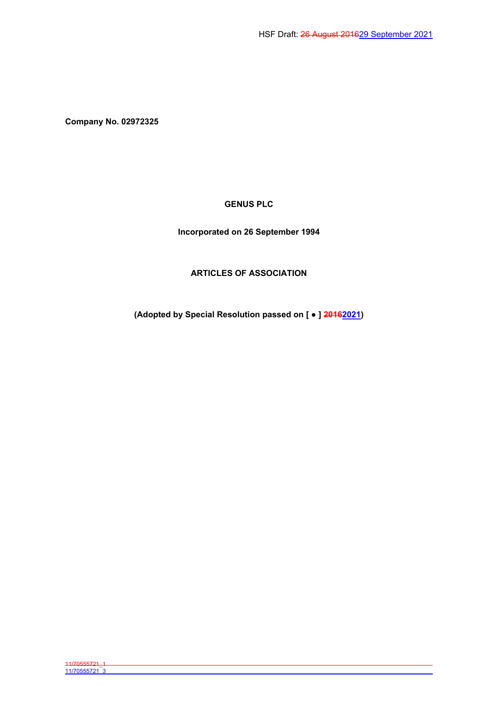**Company No. 02972325**

**GENUS PLC**

**Incorporated on 26 September 1994**

# **ARTICLES OF ASSOCIATION**

**(Adopted by Special Resolution passed on [ ● ] 20162021)**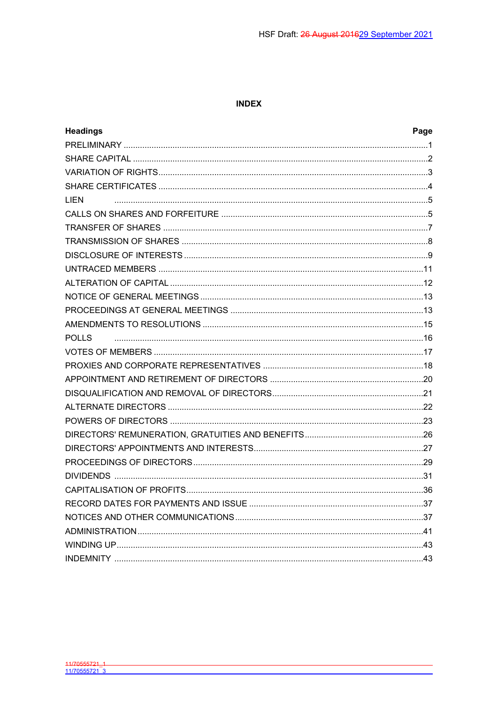## **INDEX**

| <b>Headings</b> | Page |
|-----------------|------|
|                 |      |
|                 |      |
|                 |      |
|                 |      |
| <b>LIEN</b>     |      |
|                 |      |
|                 |      |
|                 |      |
|                 |      |
|                 |      |
|                 |      |
|                 |      |
|                 |      |
|                 |      |
| <b>POLLS</b>    |      |
|                 |      |
|                 |      |
|                 |      |
|                 |      |
|                 |      |
|                 |      |
|                 |      |
|                 |      |
|                 |      |
|                 |      |
|                 |      |
|                 |      |
|                 |      |
|                 |      |
|                 |      |
|                 |      |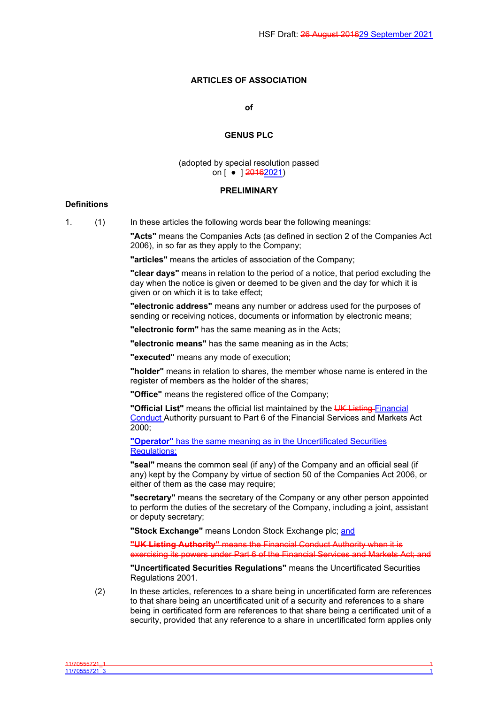# **ARTICLES OF ASSOCIATION**

#### **of**

## **GENUS PLC**

### (adopted by special resolution passed on [ ● 120162021)

### <span id="page-2-0"></span>**PRELIMINARY**

#### **Definitions**

11/70555721\_3 1

1. (1) In these articles the following words bear the following meanings:

**"Acts"** means the Companies Acts (as defined in section 2 of the Companies Act 2006), in so far as they apply to the Company;

**"articles"** means the articles of association of the Company;

**"clear days"** means in relation to the period of a notice, that period excluding the day when the notice is given or deemed to be given and the day for which it is given or on which it is to take effect;

**"electronic address"** means any number or address used for the purposes of sending or receiving notices, documents or information by electronic means;

**"electronic form"** has the same meaning as in the Acts;

**"electronic means"** has the same meaning as in the Acts;

**"executed"** means any mode of execution;

**"holder"** means in relation to shares, the member whose name is entered in the register of members as the holder of the shares:

**"Office"** means the registered office of the Company;

**"Official List"** means the official list maintained by the UK Listing Financial Conduct Authority pursuant to Part 6 of the Financial Services and Markets Act 2000;

**"Operator"** has the same meaning as in the Uncertificated Securities Regulations:

**"seal"** means the common seal (if any) of the Company and an official seal (if any) kept by the Company by virtue of section 50 of the Companies Act 2006, or either of them as the case may require;

**"secretary"** means the secretary of the Company or any other person appointed to perform the duties of the secretary of the Company, including a joint, assistant or deputy secretary;

**"Stock Exchange"** means London Stock Exchange plc; and

**"UK Listing Authority"** means the Financial Conduct Authority when it is exercising its powers under Part 6 of the Financial Services and Markets Act; and

**"Uncertificated Securities Regulations"** means the Uncertificated Securities Regulations 2001.

(2) In these articles, references to a share being in uncertificated form are references to that share being an uncertificated unit of a security and references to a share being in certificated form are references to that share being a certificated unit of a security, provided that any reference to a share in uncertificated form applies only

11/70555721\_1 1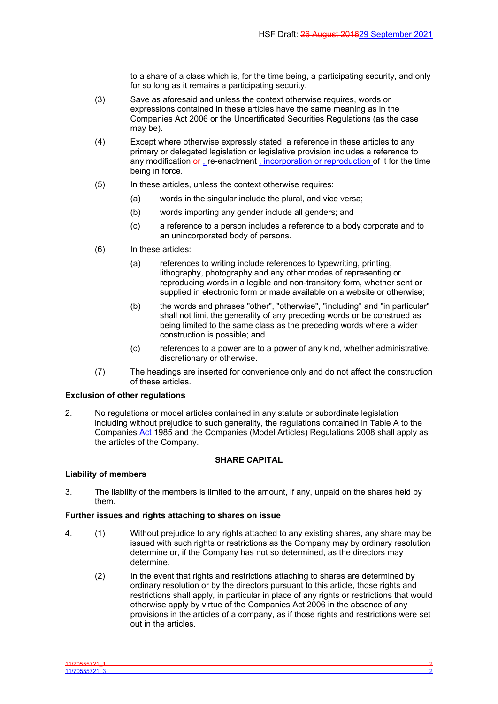to a share of a class which is, for the time being, a participating security, and only for so long as it remains a participating security.

- (3) Save as aforesaid and unless the context otherwise requires, words or expressions contained in these articles have the same meaning as in the Companies Act 2006 or the Uncertificated Securities Regulations (as the case may be).
- (4) Except where otherwise expressly stated, a reference in these articles to any primary or delegated legislation or legislative provision includes a reference to any modification or , re-enactment-, incorporation or reproduction of it for the time being in force.
- (5) In these articles, unless the context otherwise requires:
	- (a) words in the singular include the plural, and vice versa;
	- (b) words importing any gender include all genders; and
	- (c) a reference to a person includes a reference to a body corporate and to an unincorporated body of persons.
- (6) In these articles:
	- (a) references to writing include references to typewriting, printing, lithography, photography and any other modes of representing or reproducing words in a legible and non-transitory form, whether sent or supplied in electronic form or made available on a website or otherwise;
	- (b) the words and phrases "other", "otherwise", "including" and "in particular" shall not limit the generality of any preceding words or be construed as being limited to the same class as the preceding words where a wider construction is possible; and
	- (c) references to a power are to a power of any kind, whether administrative, discretionary or otherwise.
- (7) The headings are inserted for convenience only and do not affect the construction of these articles.

### **Exclusion of other regulations**

2. No regulations or model articles contained in any statute or subordinate legislation including without prejudice to such generality, the regulations contained in Table A to the Companies Act 1985 and the Companies (Model Articles) Regulations 2008 shall apply as the articles of the Company.

### <span id="page-3-0"></span>**SHARE CAPITAL**

### **Liability of members**

3. The liability of the members is limited to the amount, if any, unpaid on the shares held by them.

## **Further issues and rights attaching to shares on issue**

- 4. (1) Without prejudice to any rights attached to any existing shares, any share may be issued with such rights or restrictions as the Company may by ordinary resolution determine or, if the Company has not so determined, as the directors may determine.
	- (2) In the event that rights and restrictions attaching to shares are determined by ordinary resolution or by the directors pursuant to this article, those rights and restrictions shall apply, in particular in place of any rights or restrictions that would otherwise apply by virtue of the Companies Act 2006 in the absence of any provisions in the articles of a company, as if those rights and restrictions were set out in the articles.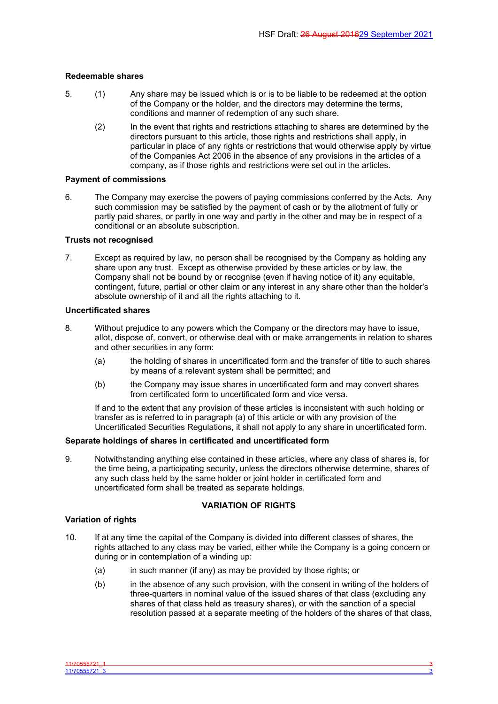## **Redeemable shares**

- 5. (1) Any share may be issued which is or is to be liable to be redeemed at the option of the Company or the holder, and the directors may determine the terms, conditions and manner of redemption of any such share.
	- (2) In the event that rights and restrictions attaching to shares are determined by the directors pursuant to this article, those rights and restrictions shall apply, in particular in place of any rights or restrictions that would otherwise apply by virtue of the Companies Act 2006 in the absence of any provisions in the articles of a company, as if those rights and restrictions were set out in the articles.

## **Payment of commissions**

6. The Company may exercise the powers of paying commissions conferred by the Acts. Any such commission may be satisfied by the payment of cash or by the allotment of fully or partly paid shares, or partly in one way and partly in the other and may be in respect of a conditional or an absolute subscription.

## **Trusts not recognised**

7. Except as required by law, no person shall be recognised by the Company as holding any share upon any trust. Except as otherwise provided by these articles or by law, the Company shall not be bound by or recognise (even if having notice of it) any equitable, contingent, future, partial or other claim or any interest in any share other than the holder's absolute ownership of it and all the rights attaching to it.

## **Uncertificated shares**

- 8. Without prejudice to any powers which the Company or the directors may have to issue, allot, dispose of, convert, or otherwise deal with or make arrangements in relation to shares and other securities in any form:
	- (a) the holding of shares in uncertificated form and the transfer of title to such shares by means of a relevant system shall be permitted; and
	- (b) the Company may issue shares in uncertificated form and may convert shares from certificated form to uncertificated form and vice versa.

If and to the extent that any provision of these articles is inconsistent with such holding or transfer as is referred to in paragraph (a) of this article or with any provision of the Uncertificated Securities Regulations, it shall not apply to any share in uncertificated form.

### **Separate holdings of shares in certificated and uncertificated form**

9. Notwithstanding anything else contained in these articles, where any class of shares is, for the time being, a participating security, unless the directors otherwise determine, shares of any such class held by the same holder or joint holder in certificated form and uncertificated form shall be treated as separate holdings.

# <span id="page-4-0"></span>**VARIATION OF RIGHTS**

## **Variation of rights**

- 10. If at any time the capital of the Company is divided into different classes of shares, the rights attached to any class may be varied, either while the Company is a going concern or during or in contemplation of a winding up:
	- (a) in such manner (if any) as may be provided by those rights; or
	- (b) in the absence of any such provision, with the consent in writing of the holders of three-quarters in nominal value of the issued shares of that class (excluding any shares of that class held as treasury shares), or with the sanction of a special resolution passed at a separate meeting of the holders of the shares of that class,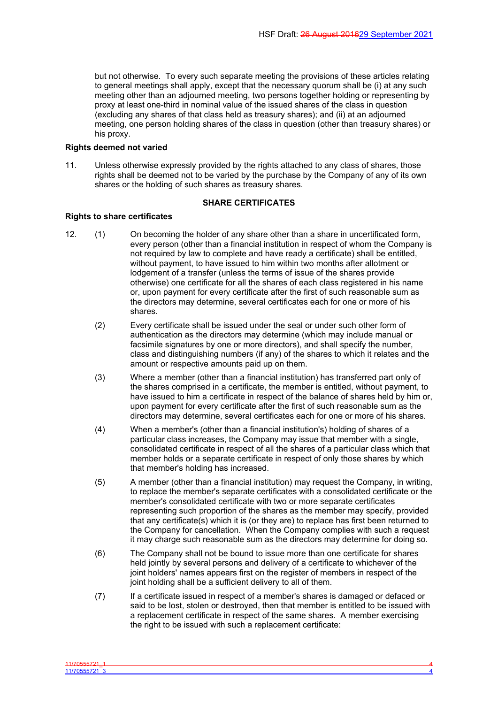but not otherwise. To every such separate meeting the provisions of these articles relating to general meetings shall apply, except that the necessary quorum shall be (i) at any such meeting other than an adjourned meeting, two persons together holding or representing by proxy at least one-third in nominal value of the issued shares of the class in question (excluding any shares of that class held as treasury shares); and (ii) at an adjourned meeting, one person holding shares of the class in question (other than treasury shares) or his proxy.

#### **Rights deemed not varied**

11. Unless otherwise expressly provided by the rights attached to any class of shares, those rights shall be deemed not to be varied by the purchase by the Company of any of its own shares or the holding of such shares as treasury shares.

#### <span id="page-5-0"></span>**SHARE CERTIFICATES**

#### **Rights to share certificates**

- 12. (1) On becoming the holder of any share other than a share in uncertificated form, every person (other than a financial institution in respect of whom the Company is not required by law to complete and have ready a certificate) shall be entitled, without payment, to have issued to him within two months after allotment or lodgement of a transfer (unless the terms of issue of the shares provide otherwise) one certificate for all the shares of each class registered in his name or, upon payment for every certificate after the first of such reasonable sum as the directors may determine, several certificates each for one or more of his shares.
	- (2) Every certificate shall be issued under the seal or under such other form of authentication as the directors may determine (which may include manual or facsimile signatures by one or more directors), and shall specify the number, class and distinguishing numbers (if any) of the shares to which it relates and the amount or respective amounts paid up on them.
	- (3) Where a member (other than a financial institution) has transferred part only of the shares comprised in a certificate, the member is entitled, without payment, to have issued to him a certificate in respect of the balance of shares held by him or, upon payment for every certificate after the first of such reasonable sum as the directors may determine, several certificates each for one or more of his shares.
	- (4) When a member's (other than a financial institution's) holding of shares of a particular class increases, the Company may issue that member with a single, consolidated certificate in respect of all the shares of a particular class which that member holds or a separate certificate in respect of only those shares by which that member's holding has increased.
	- (5) A member (other than a financial institution) may request the Company, in writing, to replace the member's separate certificates with a consolidated certificate or the member's consolidated certificate with two or more separate certificates representing such proportion of the shares as the member may specify, provided that any certificate(s) which it is (or they are) to replace has first been returned to the Company for cancellation. When the Company complies with such a request it may charge such reasonable sum as the directors may determine for doing so.
	- (6) The Company shall not be bound to issue more than one certificate for shares held jointly by several persons and delivery of a certificate to whichever of the joint holders' names appears first on the register of members in respect of the joint holding shall be a sufficient delivery to all of them.
	- (7) If a certificate issued in respect of a member's shares is damaged or defaced or said to be lost, stolen or destroyed, then that member is entitled to be issued with a replacement certificate in respect of the same shares. A member exercising the right to be issued with such a replacement certificate: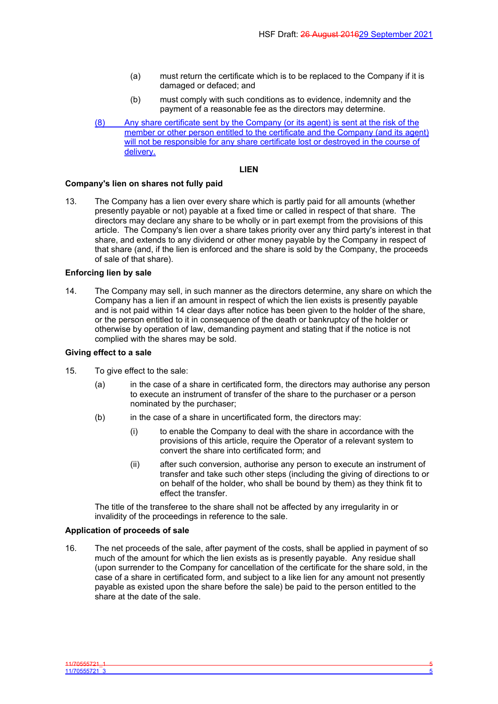- (a) must return the certificate which is to be replaced to the Company if it is damaged or defaced; and
- (b) must comply with such conditions as to evidence, indemnity and the payment of a reasonable fee as the directors may determine.
- (8) Any share certificate sent by the Company (or its agent) is sent at the risk of the member or other person entitled to the certificate and the Company (and its agent) will not be responsible for any share certificate lost or destroyed in the course of delivery.

### <span id="page-6-0"></span>**LIEN**

### **Company's lien on shares not fully paid**

13. The Company has a lien over every share which is partly paid for all amounts (whether presently payable or not) payable at a fixed time or called in respect of that share. The directors may declare any share to be wholly or in part exempt from the provisions of this article. The Company's lien over a share takes priority over any third party's interest in that share, and extends to any dividend or other money payable by the Company in respect of that share (and, if the lien is enforced and the share is sold by the Company, the proceeds of sale of that share).

## **Enforcing lien by sale**

14. The Company may sell, in such manner as the directors determine, any share on which the Company has a lien if an amount in respect of which the lien exists is presently payable and is not paid within 14 clear days after notice has been given to the holder of the share, or the person entitled to it in consequence of the death or bankruptcy of the holder or otherwise by operation of law, demanding payment and stating that if the notice is not complied with the shares may be sold.

## **Giving effect to a sale**

- 15. To give effect to the sale:
	- (a) in the case of a share in certificated form, the directors may authorise any person to execute an instrument of transfer of the share to the purchaser or a person nominated by the purchaser;
	- (b) in the case of a share in uncertificated form, the directors may:
		- (i) to enable the Company to deal with the share in accordance with the provisions of this article, require the Operator of a relevant system to convert the share into certificated form; and
		- (ii) after such conversion, authorise any person to execute an instrument of transfer and take such other steps (including the giving of directions to or on behalf of the holder, who shall be bound by them) as they think fit to effect the transfer.

The title of the transferee to the share shall not be affected by any irregularity in or invalidity of the proceedings in reference to the sale.

# **Application of proceeds of sale**

16. The net proceeds of the sale, after payment of the costs, shall be applied in payment of so much of the amount for which the lien exists as is presently payable. Any residue shall (upon surrender to the Company for cancellation of the certificate for the share sold, in the case of a share in certificated form, and subject to a like lien for any amount not presently payable as existed upon the share before the sale) be paid to the person entitled to the share at the date of the sale.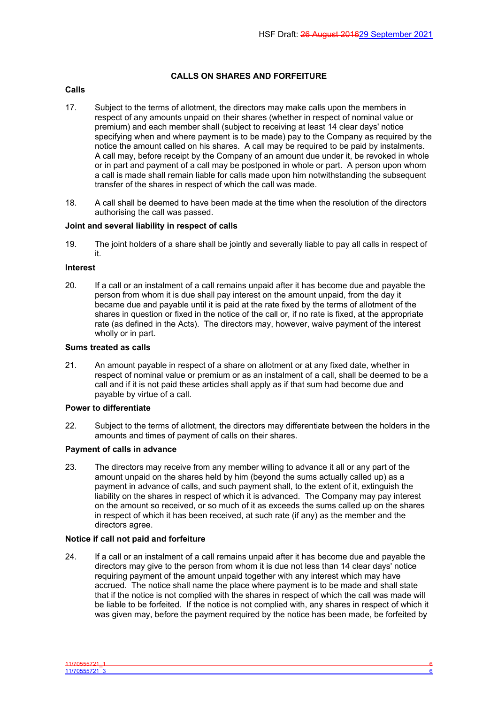# <span id="page-7-0"></span>**CALLS ON SHARES AND FORFEITURE**

## **Calls**

- 17. Subject to the terms of allotment, the directors may make calls upon the members in respect of any amounts unpaid on their shares (whether in respect of nominal value or premium) and each member shall (subject to receiving at least 14 clear days' notice specifying when and where payment is to be made) pay to the Company as required by the notice the amount called on his shares. A call may be required to be paid by instalments. A call may, before receipt by the Company of an amount due under it, be revoked in whole or in part and payment of a call may be postponed in whole or part. A person upon whom a call is made shall remain liable for calls made upon him notwithstanding the subsequent transfer of the shares in respect of which the call was made.
- 18. A call shall be deemed to have been made at the time when the resolution of the directors authorising the call was passed.

# **Joint and several liability in respect of calls**

19. The joint holders of a share shall be jointly and severally liable to pay all calls in respect of it.

### **Interest**

20. If a call or an instalment of a call remains unpaid after it has become due and payable the person from whom it is due shall pay interest on the amount unpaid, from the day it became due and payable until it is paid at the rate fixed by the terms of allotment of the shares in question or fixed in the notice of the call or, if no rate is fixed, at the appropriate rate (as defined in the Acts). The directors may, however, waive payment of the interest wholly or in part.

#### **Sums treated as calls**

21. An amount payable in respect of a share on allotment or at any fixed date, whether in respect of nominal value or premium or as an instalment of a call, shall be deemed to be a call and if it is not paid these articles shall apply as if that sum had become due and payable by virtue of a call.

### **Power to differentiate**

22. Subject to the terms of allotment, the directors may differentiate between the holders in the amounts and times of payment of calls on their shares.

### **Payment of calls in advance**

23. The directors may receive from any member willing to advance it all or any part of the amount unpaid on the shares held by him (beyond the sums actually called up) as a payment in advance of calls, and such payment shall, to the extent of it, extinguish the liability on the shares in respect of which it is advanced. The Company may pay interest on the amount so received, or so much of it as exceeds the sums called up on the shares in respect of which it has been received, at such rate (if any) as the member and the directors agree.

# **Notice if call not paid and forfeiture**

24. If a call or an instalment of a call remains unpaid after it has become due and payable the directors may give to the person from whom it is due not less than 14 clear days' notice requiring payment of the amount unpaid together with any interest which may have accrued. The notice shall name the place where payment is to be made and shall state that if the notice is not complied with the shares in respect of which the call was made will be liable to be forfeited. If the notice is not complied with, any shares in respect of which it was given may, before the payment required by the notice has been made, be forfeited by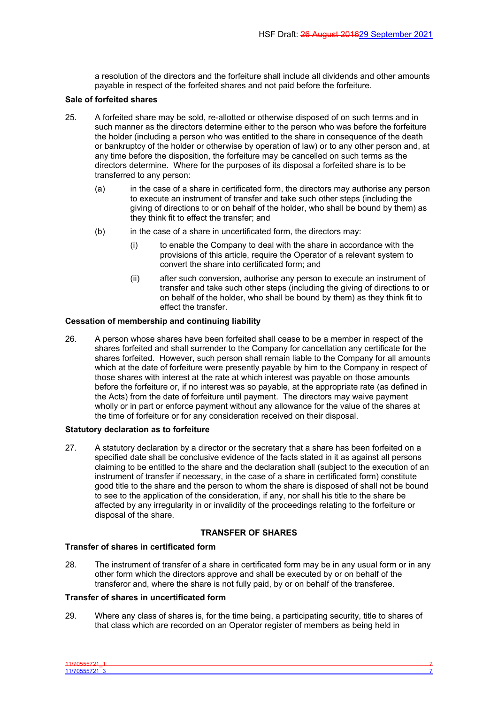a resolution of the directors and the forfeiture shall include all dividends and other amounts payable in respect of the forfeited shares and not paid before the forfeiture.

### **Sale of forfeited shares**

- 25. A forfeited share may be sold, re-allotted or otherwise disposed of on such terms and in such manner as the directors determine either to the person who was before the forfeiture the holder (including a person who was entitled to the share in consequence of the death or bankruptcy of the holder or otherwise by operation of law) or to any other person and, at any time before the disposition, the forfeiture may be cancelled on such terms as the directors determine. Where for the purposes of its disposal a forfeited share is to be transferred to any person:
	- (a) in the case of a share in certificated form, the directors may authorise any person to execute an instrument of transfer and take such other steps (including the giving of directions to or on behalf of the holder, who shall be bound by them) as they think fit to effect the transfer; and
	- (b) in the case of a share in uncertificated form, the directors may:
		- (i) to enable the Company to deal with the share in accordance with the provisions of this article, require the Operator of a relevant system to convert the share into certificated form; and
		- (ii) after such conversion, authorise any person to execute an instrument of transfer and take such other steps (including the giving of directions to or on behalf of the holder, who shall be bound by them) as they think fit to effect the transfer.

## **Cessation of membership and continuing liability**

26. A person whose shares have been forfeited shall cease to be a member in respect of the shares forfeited and shall surrender to the Company for cancellation any certificate for the shares forfeited. However, such person shall remain liable to the Company for all amounts which at the date of forfeiture were presently payable by him to the Company in respect of those shares with interest at the rate at which interest was payable on those amounts before the forfeiture or, if no interest was so payable, at the appropriate rate (as defined in the Acts) from the date of forfeiture until payment. The directors may waive payment wholly or in part or enforce payment without any allowance for the value of the shares at the time of forfeiture or for any consideration received on their disposal.

### **Statutory declaration as to forfeiture**

27. A statutory declaration by a director or the secretary that a share has been forfeited on a specified date shall be conclusive evidence of the facts stated in it as against all persons claiming to be entitled to the share and the declaration shall (subject to the execution of an instrument of transfer if necessary, in the case of a share in certificated form) constitute good title to the share and the person to whom the share is disposed of shall not be bound to see to the application of the consideration, if any, nor shall his title to the share be affected by any irregularity in or invalidity of the proceedings relating to the forfeiture or disposal of the share.

# <span id="page-8-0"></span>**TRANSFER OF SHARES**

## **Transfer of shares in certificated form**

28. The instrument of transfer of a share in certificated form may be in any usual form or in any other form which the directors approve and shall be executed by or on behalf of the transferor and, where the share is not fully paid, by or on behalf of the transferee.

### **Transfer of shares in uncertificated form**

29. Where any class of shares is, for the time being, a participating security, title to shares of that class which are recorded on an Operator register of members as being held in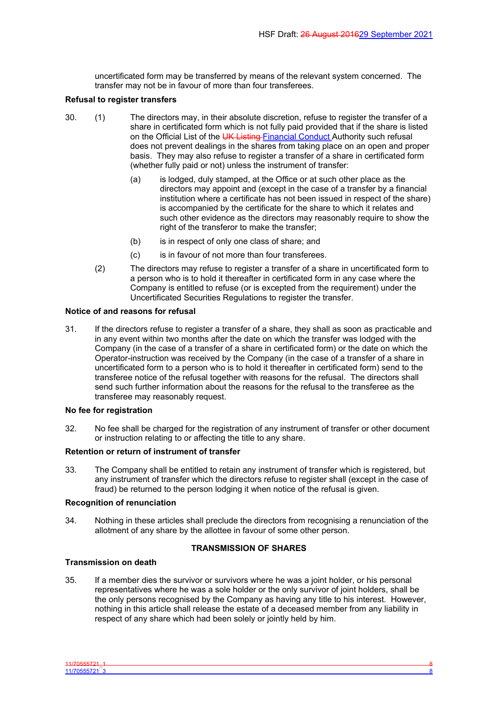uncertificated form may be transferred by means of the relevant system concerned. The transfer may not be in favour of more than four transferees.

## **Refusal to register transfers**

- 30. (1) The directors may, in their absolute discretion, refuse to register the transfer of a share in certificated form which is not fully paid provided that if the share is listed on the Official List of the UK Listing Financial Conduct Authority such refusal does not prevent dealings in the shares from taking place on an open and proper basis. They may also refuse to register a transfer of a share in certificated form (whether fully paid or not) unless the instrument of transfer:
	- (a) is lodged, duly stamped, at the Office or at such other place as the directors may appoint and (except in the case of a transfer by a financial institution where a certificate has not been issued in respect of the share) is accompanied by the certificate for the share to which it relates and such other evidence as the directors may reasonably require to show the right of the transferor to make the transfer;
	- (b) is in respect of only one class of share; and
	- (c) is in favour of not more than four transferees.
	- (2) The directors may refuse to register a transfer of a share in uncertificated form to a person who is to hold it thereafter in certificated form in any case where the Company is entitled to refuse (or is excepted from the requirement) under the Uncertificated Securities Regulations to register the transfer.

## **Notice of and reasons for refusal**

31. If the directors refuse to register a transfer of a share, they shall as soon as practicable and in any event within two months after the date on which the transfer was lodged with the Company (in the case of a transfer of a share in certificated form) or the date on which the Operator-instruction was received by the Company (in the case of a transfer of a share in uncertificated form to a person who is to hold it thereafter in certificated form) send to the transferee notice of the refusal together with reasons for the refusal. The directors shall send such further information about the reasons for the refusal to the transferee as the transferee may reasonably request.

## **No fee for registration**

32. No fee shall be charged for the registration of any instrument of transfer or other document or instruction relating to or affecting the title to any share.

### **Retention or return of instrument of transfer**

33. The Company shall be entitled to retain any instrument of transfer which is registered, but any instrument of transfer which the directors refuse to register shall (except in the case of fraud) be returned to the person lodging it when notice of the refusal is given.

### **Recognition of renunciation**

34. Nothing in these articles shall preclude the directors from recognising a renunciation of the allotment of any share by the allottee in favour of some other person.

# <span id="page-9-0"></span>**TRANSMISSION OF SHARES**

### **Transmission on death**

35. If a member dies the survivor or survivors where he was a joint holder, or his personal representatives where he was a sole holder or the only survivor of joint holders, shall be the only persons recognised by the Company as having any title to his interest. However, nothing in this article shall release the estate of a deceased member from any liability in respect of any share which had been solely or jointly held by him.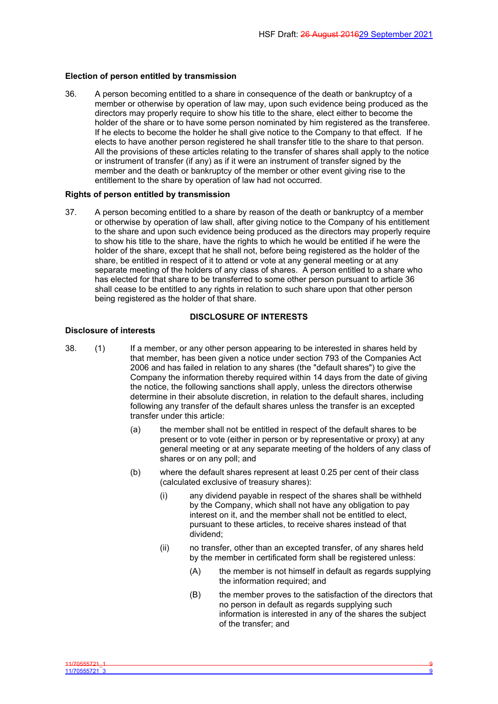#### **Election of person entitled by transmission**

36. A person becoming entitled to a share in consequence of the death or bankruptcy of a member or otherwise by operation of law may, upon such evidence being produced as the directors may properly require to show his title to the share, elect either to become the holder of the share or to have some person nominated by him registered as the transferee. If he elects to become the holder he shall give notice to the Company to that effect. If he elects to have another person registered he shall transfer title to the share to that person. All the provisions of these articles relating to the transfer of shares shall apply to the notice or instrument of transfer (if any) as if it were an instrument of transfer signed by the member and the death or bankruptcy of the member or other event giving rise to the entitlement to the share by operation of law had not occurred.

#### **Rights of person entitled by transmission**

37. A person becoming entitled to a share by reason of the death or bankruptcy of a member or otherwise by operation of law shall, after giving notice to the Company of his entitlement to the share and upon such evidence being produced as the directors may properly require to show his title to the share, have the rights to which he would be entitled if he were the holder of the share, except that he shall not, before being registered as the holder of the share, be entitled in respect of it to attend or vote at any general meeting or at any separate meeting of the holders of any class of shares. A person entitled to a share who has elected for that share to be transferred to some other person pursuant to article 36 shall cease to be entitled to any rights in relation to such share upon that other person being registered as the holder of that share.

## <span id="page-10-0"></span>**DISCLOSURE OF INTERESTS**

#### **Disclosure of interests**

- 38. (1) If a member, or any other person appearing to be interested in shares held by that member, has been given a notice under section 793 of the Companies Act 2006 and has failed in relation to any shares (the "default shares") to give the Company the information thereby required within 14 days from the date of giving the notice, the following sanctions shall apply, unless the directors otherwise determine in their absolute discretion, in relation to the default shares, including following any transfer of the default shares unless the transfer is an excepted transfer under this article:
	- (a) the member shall not be entitled in respect of the default shares to be present or to vote (either in person or by representative or proxy) at any general meeting or at any separate meeting of the holders of any class of shares or on any poll; and
	- (b) where the default shares represent at least 0.25 per cent of their class (calculated exclusive of treasury shares):
		- (i) any dividend payable in respect of the shares shall be withheld by the Company, which shall not have any obligation to pay interest on it, and the member shall not be entitled to elect, pursuant to these articles, to receive shares instead of that dividend;
		- (ii) no transfer, other than an excepted transfer, of any shares held by the member in certificated form shall be registered unless:
			- (A) the member is not himself in default as regards supplying the information required; and
			- (B) the member proves to the satisfaction of the directors that no person in default as regards supplying such information is interested in any of the shares the subject of the transfer; and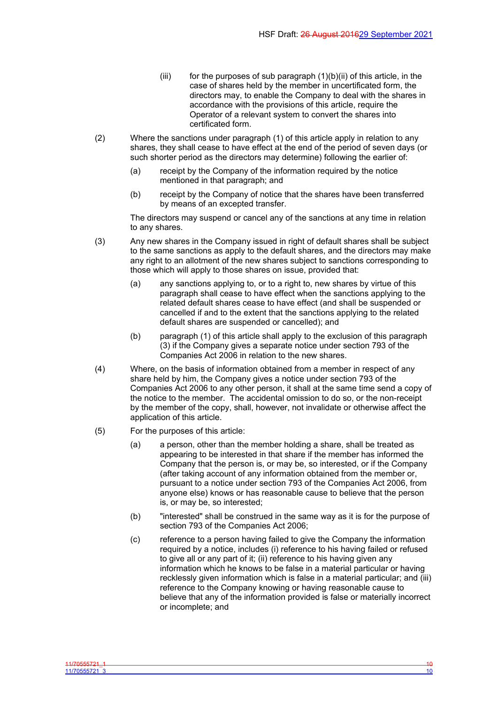- (iii) for the purposes of sub paragraph  $(1)(b)(ii)$  of this article, in the case of shares held by the member in uncertificated form, the directors may, to enable the Company to deal with the shares in accordance with the provisions of this article, require the Operator of a relevant system to convert the shares into certificated form.
- (2) Where the sanctions under paragraph (1) of this article apply in relation to any shares, they shall cease to have effect at the end of the period of seven days (or such shorter period as the directors may determine) following the earlier of:
	- (a) receipt by the Company of the information required by the notice mentioned in that paragraph; and
	- (b) receipt by the Company of notice that the shares have been transferred by means of an excepted transfer.

The directors may suspend or cancel any of the sanctions at any time in relation to any shares.

- (3) Any new shares in the Company issued in right of default shares shall be subject to the same sanctions as apply to the default shares, and the directors may make any right to an allotment of the new shares subject to sanctions corresponding to those which will apply to those shares on issue, provided that:
	- (a) any sanctions applying to, or to a right to, new shares by virtue of this paragraph shall cease to have effect when the sanctions applying to the related default shares cease to have effect (and shall be suspended or cancelled if and to the extent that the sanctions applying to the related default shares are suspended or cancelled); and
	- (b) paragraph (1) of this article shall apply to the exclusion of this paragraph (3) if the Company gives a separate notice under section 793 of the Companies Act 2006 in relation to the new shares.
- (4) Where, on the basis of information obtained from a member in respect of any share held by him, the Company gives a notice under section 793 of the Companies Act 2006 to any other person, it shall at the same time send a copy of the notice to the member. The accidental omission to do so, or the non-receipt by the member of the copy, shall, however, not invalidate or otherwise affect the application of this article.
- (5) For the purposes of this article:
	- (a) a person, other than the member holding a share, shall be treated as appearing to be interested in that share if the member has informed the Company that the person is, or may be, so interested, or if the Company (after taking account of any information obtained from the member or, pursuant to a notice under section 793 of the Companies Act 2006, from anyone else) knows or has reasonable cause to believe that the person is, or may be, so interested;
	- (b) "interested" shall be construed in the same way as it is for the purpose of section 793 of the Companies Act 2006;
	- (c) reference to a person having failed to give the Company the information required by a notice, includes (i) reference to his having failed or refused to give all or any part of it; (ii) reference to his having given any information which he knows to be false in a material particular or having recklessly given information which is false in a material particular; and (iii) reference to the Company knowing or having reasonable cause to believe that any of the information provided is false or materially incorrect or incomplete; and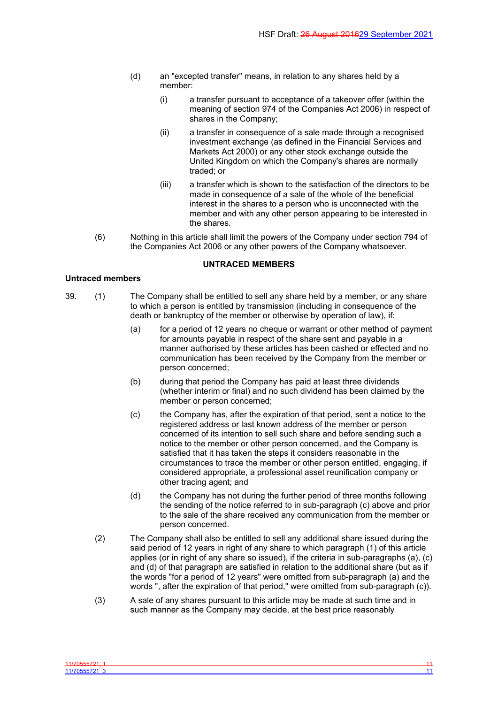- (d) an "excepted transfer" means, in relation to any shares held by a member:
	- (i) a transfer pursuant to acceptance of a takeover offer (within the meaning of section 974 of the Companies Act 2006) in respect of shares in the Company;
	- (ii) a transfer in consequence of a sale made through a recognised investment exchange (as defined in the Financial Services and Markets Act 2000) or any other stock exchange outside the United Kingdom on which the Company's shares are normally traded; or
	- (iii) a transfer which is shown to the satisfaction of the directors to be made in consequence of a sale of the whole of the beneficial interest in the shares to a person who is unconnected with the member and with any other person appearing to be interested in the shares.
- (6) Nothing in this article shall limit the powers of the Company under section 794 of the Companies Act 2006 or any other powers of the Company whatsoever.

## <span id="page-12-0"></span>**UNTRACED MEMBERS**

### **Untraced members**

- 39. (1) The Company shall be entitled to sell any share held by a member, or any share to which a person is entitled by transmission (including in consequence of the death or bankruptcy of the member or otherwise by operation of law), if:
	- (a) for a period of 12 years no cheque or warrant or other method of payment for amounts payable in respect of the share sent and payable in a manner authorised by these articles has been cashed or effected and no communication has been received by the Company from the member or person concerned;
	- (b) during that period the Company has paid at least three dividends (whether interim or final) and no such dividend has been claimed by the member or person concerned;
	- (c) the Company has, after the expiration of that period, sent a notice to the registered address or last known address of the member or person concerned of its intention to sell such share and before sending such a notice to the member or other person concerned, and the Company is satisfied that it has taken the steps it considers reasonable in the circumstances to trace the member or other person entitled, engaging, if considered appropriate, a professional asset reunification company or other tracing agent; and
	- (d) the Company has not during the further period of three months following the sending of the notice referred to in sub-paragraph (c) above and prior to the sale of the share received any communication from the member or person concerned.
	- (2) The Company shall also be entitled to sell any additional share issued during the said period of 12 years in right of any share to which paragraph (1) of this article applies (or in right of any share so issued), if the criteria in sub-paragraphs (a), (c) and (d) of that paragraph are satisfied in relation to the additional share (but as if the words "for a period of 12 years" were omitted from sub-paragraph (a) and the words ", after the expiration of that period," were omitted from sub-paragraph (c)).
	- (3) A sale of any shares pursuant to this article may be made at such time and in such manner as the Company may decide, at the best price reasonably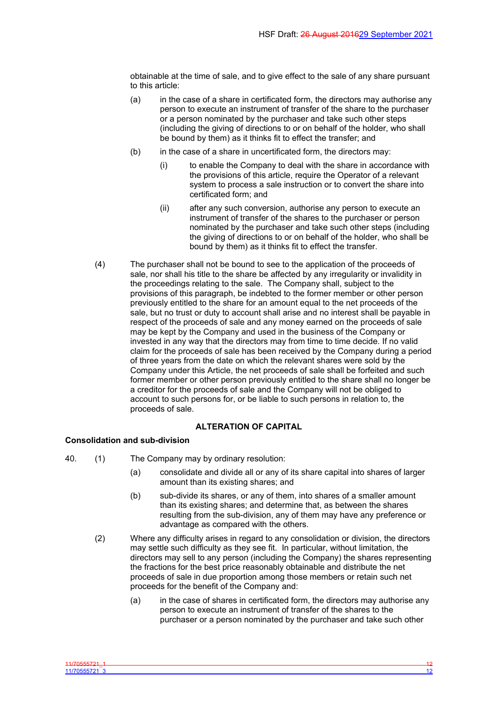obtainable at the time of sale, and to give effect to the sale of any share pursuant to this article:

- (a) in the case of a share in certificated form, the directors may authorise any person to execute an instrument of transfer of the share to the purchaser or a person nominated by the purchaser and take such other steps (including the giving of directions to or on behalf of the holder, who shall be bound by them) as it thinks fit to effect the transfer; and
- $(b)$  in the case of a share in uncertificated form, the directors may:
	- (i) to enable the Company to deal with the share in accordance with the provisions of this article, require the Operator of a relevant system to process a sale instruction or to convert the share into certificated form; and
	- (ii) after any such conversion, authorise any person to execute an instrument of transfer of the shares to the purchaser or person nominated by the purchaser and take such other steps (including the giving of directions to or on behalf of the holder, who shall be bound by them) as it thinks fit to effect the transfer.
- (4) The purchaser shall not be bound to see to the application of the proceeds of sale, nor shall his title to the share be affected by any irregularity or invalidity in the proceedings relating to the sale. The Company shall, subject to the provisions of this paragraph, be indebted to the former member or other person previously entitled to the share for an amount equal to the net proceeds of the sale, but no trust or duty to account shall arise and no interest shall be payable in respect of the proceeds of sale and any money earned on the proceeds of sale may be kept by the Company and used in the business of the Company or invested in any way that the directors may from time to time decide. If no valid claim for the proceeds of sale has been received by the Company during a period of three years from the date on which the relevant shares were sold by the Company under this Article, the net proceeds of sale shall be forfeited and such former member or other person previously entitled to the share shall no longer be a creditor for the proceeds of sale and the Company will not be obliged to account to such persons for, or be liable to such persons in relation to, the proceeds of sale.

# <span id="page-13-0"></span>**ALTERATION OF CAPITAL**

# **Consolidation and sub-division**

- 40. (1) The Company may by ordinary resolution:
	- (a) consolidate and divide all or any of its share capital into shares of larger amount than its existing shares; and
	- (b) sub-divide its shares, or any of them, into shares of a smaller amount than its existing shares; and determine that, as between the shares resulting from the sub-division, any of them may have any preference or advantage as compared with the others.
	- (2) Where any difficulty arises in regard to any consolidation or division, the directors may settle such difficulty as they see fit. In particular, without limitation, the directors may sell to any person (including the Company) the shares representing the fractions for the best price reasonably obtainable and distribute the net proceeds of sale in due proportion among those members or retain such net proceeds for the benefit of the Company and:
		- (a) in the case of shares in certificated form, the directors may authorise any person to execute an instrument of transfer of the shares to the purchaser or a person nominated by the purchaser and take such other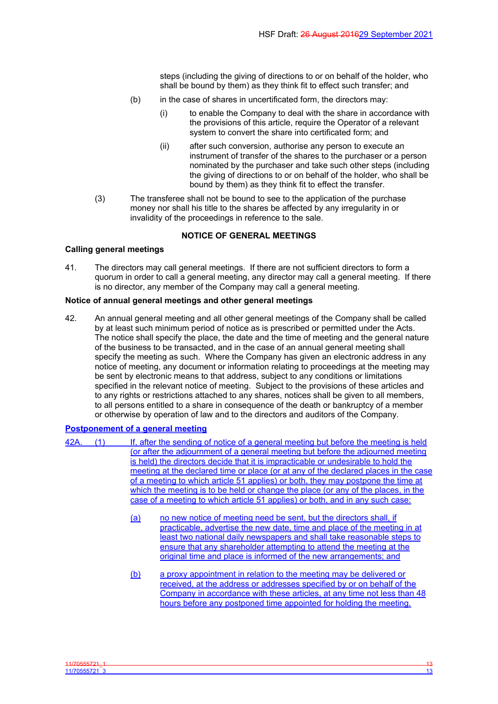steps (including the giving of directions to or on behalf of the holder, who shall be bound by them) as they think fit to effect such transfer; and

- (b) in the case of shares in uncertificated form, the directors may:
	- (i) to enable the Company to deal with the share in accordance with the provisions of this article, require the Operator of a relevant system to convert the share into certificated form; and
	- (ii) after such conversion, authorise any person to execute an instrument of transfer of the shares to the purchaser or a person nominated by the purchaser and take such other steps (including the giving of directions to or on behalf of the holder, who shall be bound by them) as they think fit to effect the transfer.
- (3) The transferee shall not be bound to see to the application of the purchase money nor shall his title to the shares be affected by any irregularity in or invalidity of the proceedings in reference to the sale.

# <span id="page-14-0"></span>**NOTICE OF GENERAL MEETINGS**

# **Calling general meetings**

41. The directors may call general meetings. If there are not sufficient directors to form a quorum in order to call a general meeting, any director may call a general meeting. If there is no director, any member of the Company may call a general meeting.

# **Notice of annual general meetings and other general meetings**

42. An annual general meeting and all other general meetings of the Company shall be called by at least such minimum period of notice as is prescribed or permitted under the Acts. The notice shall specify the place, the date and the time of meeting and the general nature of the business to be transacted, and in the case of an annual general meeting shall specify the meeting as such. Where the Company has given an electronic address in any notice of meeting, any document or information relating to proceedings at the meeting may be sent by electronic means to that address, subject to any conditions or limitations specified in the relevant notice of meeting. Subject to the provisions of these articles and to any rights or restrictions attached to any shares, notices shall be given to all members, to all persons entitled to a share in consequence of the death or bankruptcy of a member or otherwise by operation of law and to the directors and auditors of the Company.

# **Postponement of a general meeting**

42A. (1) If, after the sending of notice of a general meeting but before the meeting is held (or after the adjournment of a general meeting but before the adjourned meeting is held) the directors decide that it is impracticable or undesirable to hold the meeting at the declared time or place (or at any of the declared places in the case of a meeting to which article 51 applies) or both, they may postpone the time at which the meeting is to be held or change the place (or any of the places, in the case of a meeting to which article 51 applies) or both, and in any such case: (a) no new notice of meeting need be sent, but the directors shall, if practicable, advertise the new date, time and place of the meeting in at least two national daily newspapers and shall take reasonable steps to ensure that any shareholder attempting to attend the meeting at the original time and place is informed of the new arrangements; and (b) a proxy appointment in relation to the meeting may be delivered or received, at the address or addresses specified by or on behalf of the Company in accordance with these articles, at any time not less than 48 hours before any postponed time appointed for holding the meeting.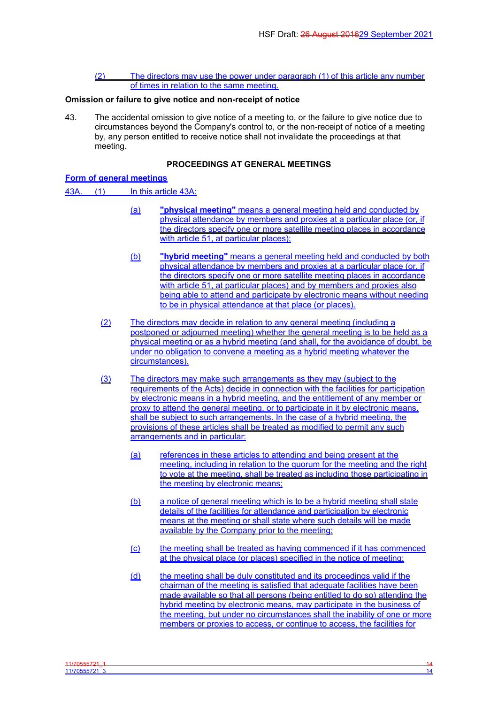(2) The directors may use the power under paragraph (1) of this article any number of times in relation to the same meeting.

#### **Omission or failure to give notice and non-receipt of notice**

43. The accidental omission to give notice of a meeting to, or the failure to give notice due to circumstances beyond the Company's control to, or the non-receipt of notice of a meeting by, any person entitled to receive notice shall not invalidate the proceedings at that meeting.

### <span id="page-15-0"></span>**PROCEEDINGS AT GENERAL MEETINGS**

# **Form of general meetings**

43A. (1) In this article 43A:

- (a) **"physical meeting"** means a general meeting held and conducted by physical attendance by members and proxies at a particular place (or, if the directors specify one or more satellite meeting places in accordance with article 51, at particular places);
- (b) **"hybrid meeting"** means a general meeting held and conducted by both physical attendance by members and proxies at a particular place (or, if the directors specify one or more satellite meeting places in accordance with article 51, at particular places) and by members and proxies also being able to attend and participate by electronic means without needing to be in physical attendance at that place (or places).
- (2) The directors may decide in relation to any general meeting (including a postponed or adjourned meeting) whether the general meeting is to be held as a physical meeting or as a hybrid meeting (and shall, for the avoidance of doubt, be under no obligation to convene a meeting as a hybrid meeting whatever the circumstances).
- (3) The directors may make such arrangements as they may (subject to the requirements of the Acts) decide in connection with the facilities for participation by electronic means in a hybrid meeting, and the entitlement of any member or proxy to attend the general meeting, or to participate in it by electronic means, shall be subject to such arrangements. In the case of a hybrid meeting, the provisions of these articles shall be treated as modified to permit any such arrangements and in particular:
	- (a) references in these articles to attending and being present at the meeting, including in relation to the quorum for the meeting and the right to vote at the meeting, shall be treated as including those participating in the meeting by electronic means;
	- (b) a notice of general meeting which is to be a hybrid meeting shall state details of the facilities for attendance and participation by electronic means at the meeting or shall state where such details will be made available by the Company prior to the meeting;
	- (c) the meeting shall be treated as having commenced if it has commenced at the physical place (or places) specified in the notice of meeting;
	- (d) the meeting shall be duly constituted and its proceedings valid if the chairman of the meeting is satisfied that adequate facilities have been made available so that all persons (being entitled to do so) attending the hybrid meeting by electronic means, may participate in the business of the meeting, but under no circumstances shall the inability of one or more members or proxies to access, or continue to access, the facilities for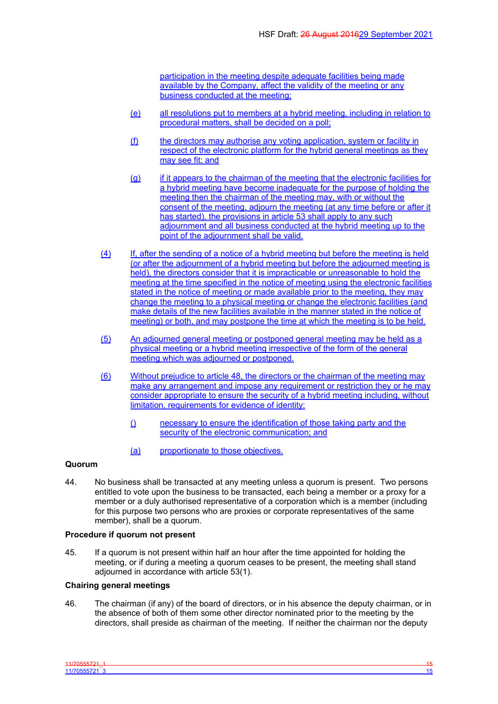participation in the meeting despite adequate facilities being made available by the Company, affect the validity of the meeting or any business conducted at the meeting;

- (e) all resolutions put to members at a hybrid meeting, including in relation to procedural matters, shall be decided on a poll;
- (f) the directors may authorise any voting application, system or facility in respect of the electronic platform for the hybrid general meetings as they may see fit; and
- (g) if it appears to the chairman of the meeting that the electronic facilities for a hybrid meeting have become inadequate for the purpose of holding the meeting then the chairman of the meeting may, with or without the consent of the meeting, adjourn the meeting (at any time before or after it has started), the provisions in article 53 shall apply to any such adjournment and all business conducted at the hybrid meeting up to the point of the adjournment shall be valid.
- (4) If, after the sending of a notice of a hybrid meeting but before the meeting is held (or after the adjournment of a hybrid meeting but before the adjourned meeting is held), the directors consider that it is impracticable or unreasonable to hold the meeting at the time specified in the notice of meeting using the electronic facilities stated in the notice of meeting or made available prior to the meeting, they may change the meeting to a physical meeting or change the electronic facilities (and make details of the new facilities available in the manner stated in the notice of meeting) or both, and may postpone the time at which the meeting is to be held.
- (5) An adjourned general meeting or postponed general meeting may be held as a physical meeting or a hybrid meeting irrespective of the form of the general meeting which was adjourned or postponed.
- (6) Without prejudice to article 48, the directors or the chairman of the meeting may make any arrangement and impose any requirement or restriction they or he may consider appropriate to ensure the security of a hybrid meeting including, without limitation, requirements for evidence of identity:
	- () necessary to ensure the identification of those taking party and the security of the electronic communication; and
	- (a) proportionate to those objectives.

# **Quorum**

44. No business shall be transacted at any meeting unless a quorum is present. Two persons entitled to vote upon the business to be transacted, each being a member or a proxy for a member or a duly authorised representative of a corporation which is a member (including for this purpose two persons who are proxies or corporate representatives of the same member), shall be a quorum.

### **Procedure if quorum not present**

45. If a quorum is not present within half an hour after the time appointed for holding the meeting, or if during a meeting a quorum ceases to be present, the meeting shall stand adjourned in accordance with article 53(1).

## **Chairing general meetings**

46. The chairman (if any) of the board of directors, or in his absence the deputy chairman, or in the absence of both of them some other director nominated prior to the meeting by the directors, shall preside as chairman of the meeting. If neither the chairman nor the deputy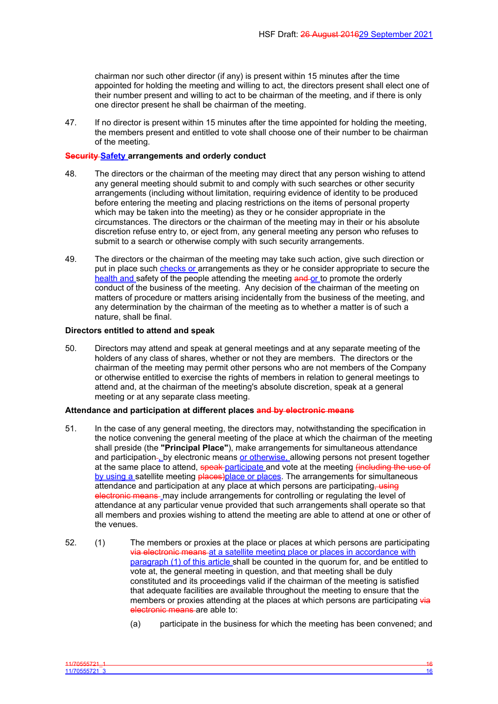chairman nor such other director (if any) is present within 15 minutes after the time appointed for holding the meeting and willing to act, the directors present shall elect one of their number present and willing to act to be chairman of the meeting, and if there is only one director present he shall be chairman of the meeting.

47. If no director is present within 15 minutes after the time appointed for holding the meeting, the members present and entitled to vote shall choose one of their number to be chairman of the meeting.

#### **Security Safety arrangements and orderly conduct**

- 48. The directors or the chairman of the meeting may direct that any person wishing to attend any general meeting should submit to and comply with such searches or other security arrangements (including without limitation, requiring evidence of identity to be produced before entering the meeting and placing restrictions on the items of personal property which may be taken into the meeting) as they or he consider appropriate in the circumstances. The directors or the chairman of the meeting may in their or his absolute discretion refuse entry to, or eject from, any general meeting any person who refuses to submit to a search or otherwise comply with such security arrangements.
- 49. The directors or the chairman of the meeting may take such action, give such direction or put in place such checks or arrangements as they or he consider appropriate to secure the health and safety of the people attending the meeting and or to promote the orderly conduct of the business of the meeting. Any decision of the chairman of the meeting on matters of procedure or matters arising incidentally from the business of the meeting, and any determination by the chairman of the meeting as to whether a matter is of such a nature, shall be final.

#### **Directors entitled to attend and speak**

50. Directors may attend and speak at general meetings and at any separate meeting of the holders of any class of shares, whether or not they are members. The directors or the chairman of the meeting may permit other persons who are not members of the Company or otherwise entitled to exercise the rights of members in relation to general meetings to attend and, at the chairman of the meeting's absolute discretion, speak at a general meeting or at any separate class meeting.

# **Attendance and participation at different places and by electronic means**

- 51. In the case of any general meeting, the directors may, notwithstanding the specification in the notice convening the general meeting of the place at which the chairman of the meeting shall preside (the **"Principal Place"**), make arrangements for simultaneous attendance and participation-, by electronic means or otherwise, allowing persons not present together at the same place to attend, speak participate and vote at the meeting (including the use of by using a satellite meeting **places**)place or places. The arrangements for simultaneous attendance and participation at any place at which persons are participating, using electronic means may include arrangements for controlling or regulating the level of attendance at any particular venue provided that such arrangements shall operate so that all members and proxies wishing to attend the meeting are able to attend at one or other of the venues.
- 52. (1) The members or proxies at the place or places at which persons are participating via electronic means at a satellite meeting place or places in accordance with paragraph (1) of this article shall be counted in the quorum for, and be entitled to vote at, the general meeting in question, and that meeting shall be duly constituted and its proceedings valid if the chairman of the meeting is satisfied that adequate facilities are available throughout the meeting to ensure that the members or proxies attending at the places at which persons are participating via electronic means are able to:
	- (a) participate in the business for which the meeting has been convened; and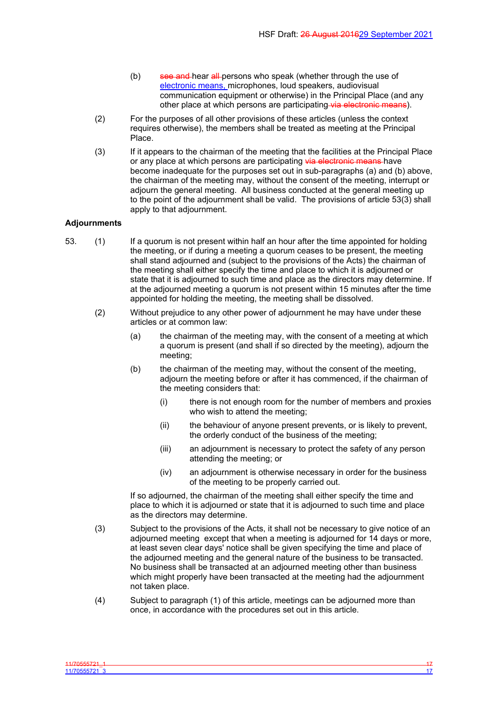- (b) see and hear all persons who speak (whether through the use of electronic means, microphones, loud speakers, audiovisual communication equipment or otherwise) in the Principal Place (and any other place at which persons are participating via electronic means).
- (2) For the purposes of all other provisions of these articles (unless the context requires otherwise), the members shall be treated as meeting at the Principal Place.
- (3) If it appears to the chairman of the meeting that the facilities at the Principal Place or any place at which persons are participating via electronic means have become inadequate for the purposes set out in sub-paragraphs (a) and (b) above, the chairman of the meeting may, without the consent of the meeting, interrupt or adjourn the general meeting. All business conducted at the general meeting up to the point of the adjournment shall be valid. The provisions of article 53(3) shall apply to that adjournment.

## **Adjournments**

- 53. (1) If a quorum is not present within half an hour after the time appointed for holding the meeting, or if during a meeting a quorum ceases to be present, the meeting shall stand adjourned and (subject to the provisions of the Acts) the chairman of the meeting shall either specify the time and place to which it is adjourned or state that it is adjourned to such time and place as the directors may determine. If at the adjourned meeting a quorum is not present within 15 minutes after the time appointed for holding the meeting, the meeting shall be dissolved.
	- (2) Without prejudice to any other power of adjournment he may have under these articles or at common law:
		- (a) the chairman of the meeting may, with the consent of a meeting at which a quorum is present (and shall if so directed by the meeting), adjourn the meeting;
		- (b) the chairman of the meeting may, without the consent of the meeting, adjourn the meeting before or after it has commenced, if the chairman of the meeting considers that:
			- (i) there is not enough room for the number of members and proxies who wish to attend the meeting;
			- (ii) the behaviour of anyone present prevents, or is likely to prevent, the orderly conduct of the business of the meeting;
			- (iii) an adjournment is necessary to protect the safety of any person attending the meeting; or
			- (iv) an adjournment is otherwise necessary in order for the business of the meeting to be properly carried out.

If so adjourned, the chairman of the meeting shall either specify the time and place to which it is adjourned or state that it is adjourned to such time and place as the directors may determine.

- (3) Subject to the provisions of the Acts, it shall not be necessary to give notice of an adjourned meeting except that when a meeting is adjourned for 14 days or more, at least seven clear days' notice shall be given specifying the time and place of the adjourned meeting and the general nature of the business to be transacted. No business shall be transacted at an adjourned meeting other than business which might properly have been transacted at the meeting had the adjournment not taken place.
- (4) Subject to paragraph (1) of this article, meetings can be adjourned more than once, in accordance with the procedures set out in this article.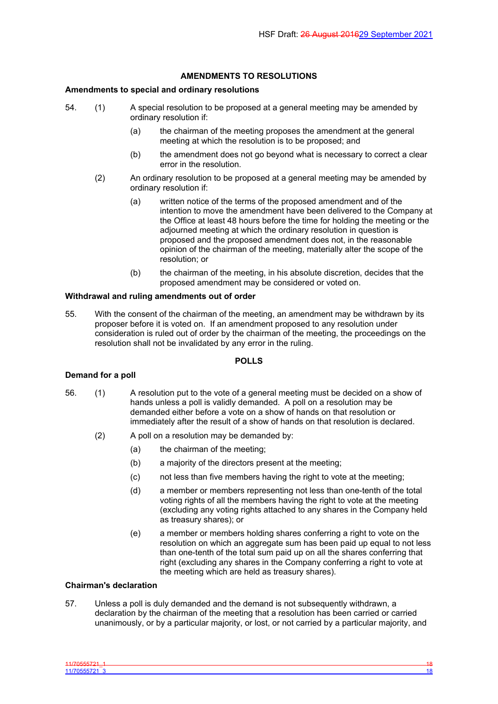# <span id="page-19-0"></span>**AMENDMENTS TO RESOLUTIONS**

## **Amendments to special and ordinary resolutions**

- 54. (1) A special resolution to be proposed at a general meeting may be amended by ordinary resolution if:
	- (a) the chairman of the meeting proposes the amendment at the general meeting at which the resolution is to be proposed; and
	- (b) the amendment does not go beyond what is necessary to correct a clear error in the resolution.
	- (2) An ordinary resolution to be proposed at a general meeting may be amended by ordinary resolution if:
		- (a) written notice of the terms of the proposed amendment and of the intention to move the amendment have been delivered to the Company at the Office at least 48 hours before the time for holding the meeting or the adjourned meeting at which the ordinary resolution in question is proposed and the proposed amendment does not, in the reasonable opinion of the chairman of the meeting, materially alter the scope of the resolution; or
		- (b) the chairman of the meeting, in his absolute discretion, decides that the proposed amendment may be considered or voted on.

## **Withdrawal and ruling amendments out of order**

55. With the consent of the chairman of the meeting, an amendment may be withdrawn by its proposer before it is voted on. If an amendment proposed to any resolution under consideration is ruled out of order by the chairman of the meeting, the proceedings on the resolution shall not be invalidated by any error in the ruling.

### <span id="page-19-1"></span>**POLLS**

### **Demand for a poll**

- 56. (1) A resolution put to the vote of a general meeting must be decided on a show of hands unless a poll is validly demanded. A poll on a resolution may be demanded either before a vote on a show of hands on that resolution or immediately after the result of a show of hands on that resolution is declared.
	- (2) A poll on a resolution may be demanded by:
		- (a) the chairman of the meeting;
		- (b) a majority of the directors present at the meeting;
		- (c) not less than five members having the right to vote at the meeting;
		- (d) a member or members representing not less than one-tenth of the total voting rights of all the members having the right to vote at the meeting (excluding any voting rights attached to any shares in the Company held as treasury shares); or
		- (e) a member or members holding shares conferring a right to vote on the resolution on which an aggregate sum has been paid up equal to not less than one-tenth of the total sum paid up on all the shares conferring that right (excluding any shares in the Company conferring a right to vote at the meeting which are held as treasury shares).

## **Chairman's declaration**

57. Unless a poll is duly demanded and the demand is not subsequently withdrawn, a declaration by the chairman of the meeting that a resolution has been carried or carried unanimously, or by a particular majority, or lost, or not carried by a particular majority, and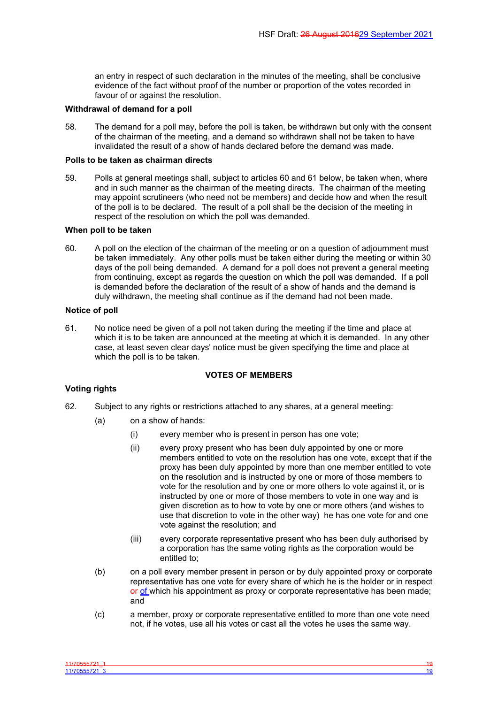an entry in respect of such declaration in the minutes of the meeting, shall be conclusive evidence of the fact without proof of the number or proportion of the votes recorded in favour of or against the resolution.

## **Withdrawal of demand for a poll**

58. The demand for a poll may, before the poll is taken, be withdrawn but only with the consent of the chairman of the meeting, and a demand so withdrawn shall not be taken to have invalidated the result of a show of hands declared before the demand was made.

### **Polls to be taken as chairman directs**

59. Polls at general meetings shall, subject to articles 60 and 61 below, be taken when, where and in such manner as the chairman of the meeting directs. The chairman of the meeting may appoint scrutineers (who need not be members) and decide how and when the result of the poll is to be declared. The result of a poll shall be the decision of the meeting in respect of the resolution on which the poll was demanded.

### **When poll to be taken**

60. A poll on the election of the chairman of the meeting or on a question of adjournment must be taken immediately. Any other polls must be taken either during the meeting or within 30 days of the poll being demanded. A demand for a poll does not prevent a general meeting from continuing, except as regards the question on which the poll was demanded. If a poll is demanded before the declaration of the result of a show of hands and the demand is duly withdrawn, the meeting shall continue as if the demand had not been made.

### **Notice of poll**

61. No notice need be given of a poll not taken during the meeting if the time and place at which it is to be taken are announced at the meeting at which it is demanded. In any other case, at least seven clear days' notice must be given specifying the time and place at which the poll is to be taken.

## <span id="page-20-0"></span>**VOTES OF MEMBERS**

# **Voting rights**

- 62. Subject to any rights or restrictions attached to any shares, at a general meeting:
	- (a) on a show of hands:
		- (i) every member who is present in person has one vote;
		- (ii) every proxy present who has been duly appointed by one or more members entitled to vote on the resolution has one vote, except that if the proxy has been duly appointed by more than one member entitled to vote on the resolution and is instructed by one or more of those members to vote for the resolution and by one or more others to vote against it, or is instructed by one or more of those members to vote in one way and is given discretion as to how to vote by one or more others (and wishes to use that discretion to vote in the other way) he has one vote for and one vote against the resolution; and
		- (iii) every corporate representative present who has been duly authorised by a corporation has the same voting rights as the corporation would be entitled to;
	- (b) on a poll every member present in person or by duly appointed proxy or corporate representative has one vote for every share of which he is the holder or in respect or of which his appointment as proxy or corporate representative has been made; and
	- (c) a member, proxy or corporate representative entitled to more than one vote need not, if he votes, use all his votes or cast all the votes he uses the same way.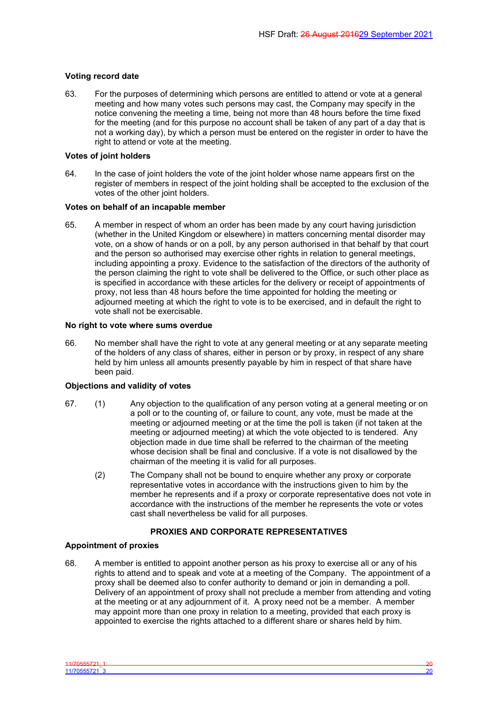# **Voting record date**

63. For the purposes of determining which persons are entitled to attend or vote at a general meeting and how many votes such persons may cast, the Company may specify in the notice convening the meeting a time, being not more than 48 hours before the time fixed for the meeting (and for this purpose no account shall be taken of any part of a day that is not a working day), by which a person must be entered on the register in order to have the right to attend or vote at the meeting.

## **Votes of joint holders**

64. In the case of joint holders the vote of the joint holder whose name appears first on the register of members in respect of the joint holding shall be accepted to the exclusion of the votes of the other joint holders.

# **Votes on behalf of an incapable member**

65. A member in respect of whom an order has been made by any court having jurisdiction (whether in the United Kingdom or elsewhere) in matters concerning mental disorder may vote, on a show of hands or on a poll, by any person authorised in that behalf by that court and the person so authorised may exercise other rights in relation to general meetings, including appointing a proxy. Evidence to the satisfaction of the directors of the authority of the person claiming the right to vote shall be delivered to the Office, or such other place as is specified in accordance with these articles for the delivery or receipt of appointments of proxy, not less than 48 hours before the time appointed for holding the meeting or adjourned meeting at which the right to vote is to be exercised, and in default the right to vote shall not be exercisable.

# **No right to vote where sums overdue**

66. No member shall have the right to vote at any general meeting or at any separate meeting of the holders of any class of shares, either in person or by proxy, in respect of any share held by him unless all amounts presently payable by him in respect of that share have been paid.

# **Objections and validity of votes**

- 67. (1) Any objection to the qualification of any person voting at a general meeting or on a poll or to the counting of, or failure to count, any vote, must be made at the meeting or adjourned meeting or at the time the poll is taken (if not taken at the meeting or adjourned meeting) at which the vote objected to is tendered. Any objection made in due time shall be referred to the chairman of the meeting whose decision shall be final and conclusive. If a vote is not disallowed by the chairman of the meeting it is valid for all purposes.
	- (2) The Company shall not be bound to enquire whether any proxy or corporate representative votes in accordance with the instructions given to him by the member he represents and if a proxy or corporate representative does not vote in accordance with the instructions of the member he represents the vote or votes cast shall nevertheless be valid for all purposes.

# <span id="page-21-0"></span>**PROXIES AND CORPORATE REPRESENTATIVES**

# **Appointment of proxies**

68. A member is entitled to appoint another person as his proxy to exercise all or any of his rights to attend and to speak and vote at a meeting of the Company. The appointment of a proxy shall be deemed also to confer authority to demand or join in demanding a poll. Delivery of an appointment of proxy shall not preclude a member from attending and voting at the meeting or at any adjournment of it. A proxy need not be a member. A member may appoint more than one proxy in relation to a meeting, provided that each proxy is appointed to exercise the rights attached to a different share or shares held by him.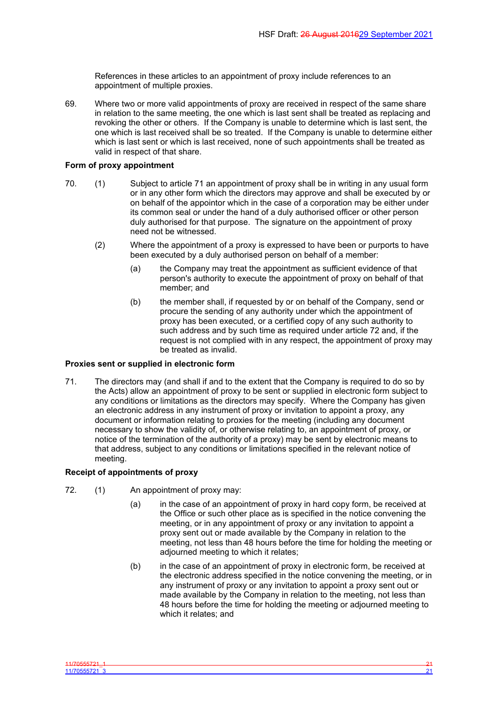References in these articles to an appointment of proxy include references to an appointment of multiple proxies.

69. Where two or more valid appointments of proxy are received in respect of the same share in relation to the same meeting, the one which is last sent shall be treated as replacing and revoking the other or others. If the Company is unable to determine which is last sent, the one which is last received shall be so treated. If the Company is unable to determine either which is last sent or which is last received, none of such appointments shall be treated as valid in respect of that share.

## **Form of proxy appointment**

- 70. (1) Subject to article 71 an appointment of proxy shall be in writing in any usual form or in any other form which the directors may approve and shall be executed by or on behalf of the appointor which in the case of a corporation may be either under its common seal or under the hand of a duly authorised officer or other person duly authorised for that purpose. The signature on the appointment of proxy need not be witnessed.
	- (2) Where the appointment of a proxy is expressed to have been or purports to have been executed by a duly authorised person on behalf of a member:
		- (a) the Company may treat the appointment as sufficient evidence of that person's authority to execute the appointment of proxy on behalf of that member; and
		- (b) the member shall, if requested by or on behalf of the Company, send or procure the sending of any authority under which the appointment of proxy has been executed, or a certified copy of any such authority to such address and by such time as required under article 72 and, if the request is not complied with in any respect, the appointment of proxy may be treated as invalid.

## **Proxies sent or supplied in electronic form**

71. The directors may (and shall if and to the extent that the Company is required to do so by the Acts) allow an appointment of proxy to be sent or supplied in electronic form subject to any conditions or limitations as the directors may specify. Where the Company has given an electronic address in any instrument of proxy or invitation to appoint a proxy, any document or information relating to proxies for the meeting (including any document necessary to show the validity of, or otherwise relating to, an appointment of proxy, or notice of the termination of the authority of a proxy) may be sent by electronic means to that address, subject to any conditions or limitations specified in the relevant notice of meeting.

## **Receipt of appointments of proxy**

- 72. (1) An appointment of proxy may:
	- (a) in the case of an appointment of proxy in hard copy form, be received at the Office or such other place as is specified in the notice convening the meeting, or in any appointment of proxy or any invitation to appoint a proxy sent out or made available by the Company in relation to the meeting, not less than 48 hours before the time for holding the meeting or adjourned meeting to which it relates;
	- (b) in the case of an appointment of proxy in electronic form, be received at the electronic address specified in the notice convening the meeting, or in any instrument of proxy or any invitation to appoint a proxy sent out or made available by the Company in relation to the meeting, not less than 48 hours before the time for holding the meeting or adjourned meeting to which it relates; and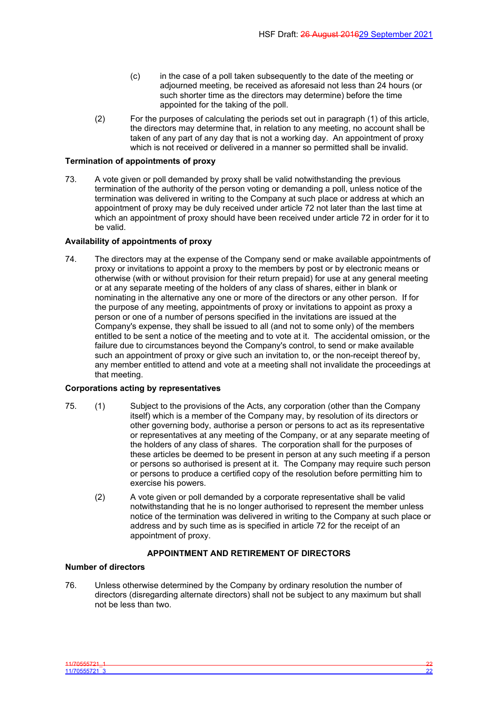- (c) in the case of a poll taken subsequently to the date of the meeting or adjourned meeting, be received as aforesaid not less than 24 hours (or such shorter time as the directors may determine) before the time appointed for the taking of the poll.
- (2) For the purposes of calculating the periods set out in paragraph (1) of this article, the directors may determine that, in relation to any meeting, no account shall be taken of any part of any day that is not a working day. An appointment of proxy which is not received or delivered in a manner so permitted shall be invalid.

## **Termination of appointments of proxy**

73. A vote given or poll demanded by proxy shall be valid notwithstanding the previous termination of the authority of the person voting or demanding a poll, unless notice of the termination was delivered in writing to the Company at such place or address at which an appointment of proxy may be duly received under article 72 not later than the last time at which an appointment of proxy should have been received under article 72 in order for it to be valid.

## **Availability of appointments of proxy**

74. The directors may at the expense of the Company send or make available appointments of proxy or invitations to appoint a proxy to the members by post or by electronic means or otherwise (with or without provision for their return prepaid) for use at any general meeting or at any separate meeting of the holders of any class of shares, either in blank or nominating in the alternative any one or more of the directors or any other person. If for the purpose of any meeting, appointments of proxy or invitations to appoint as proxy a person or one of a number of persons specified in the invitations are issued at the Company's expense, they shall be issued to all (and not to some only) of the members entitled to be sent a notice of the meeting and to vote at it. The accidental omission, or the failure due to circumstances beyond the Company's control, to send or make available such an appointment of proxy or give such an invitation to, or the non-receipt thereof by, any member entitled to attend and vote at a meeting shall not invalidate the proceedings at that meeting.

# **Corporations acting by representatives**

- 75. (1) Subject to the provisions of the Acts, any corporation (other than the Company itself) which is a member of the Company may, by resolution of its directors or other governing body, authorise a person or persons to act as its representative or representatives at any meeting of the Company, or at any separate meeting of the holders of any class of shares. The corporation shall for the purposes of these articles be deemed to be present in person at any such meeting if a person or persons so authorised is present at it. The Company may require such person or persons to produce a certified copy of the resolution before permitting him to exercise his powers.
	- (2) A vote given or poll demanded by a corporate representative shall be valid notwithstanding that he is no longer authorised to represent the member unless notice of the termination was delivered in writing to the Company at such place or address and by such time as is specified in article 72 for the receipt of an appointment of proxy.

# <span id="page-23-0"></span>**APPOINTMENT AND RETIREMENT OF DIRECTORS**

## **Number of directors**

76. Unless otherwise determined by the Company by ordinary resolution the number of directors (disregarding alternate directors) shall not be subject to any maximum but shall not be less than two.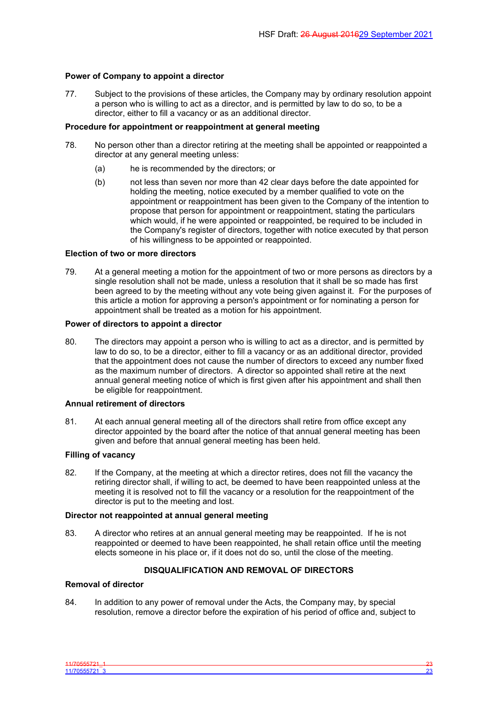## **Power of Company to appoint a director**

77. Subject to the provisions of these articles, the Company may by ordinary resolution appoint a person who is willing to act as a director, and is permitted by law to do so, to be a director, either to fill a vacancy or as an additional director.

## **Procedure for appointment or reappointment at general meeting**

- 78. No person other than a director retiring at the meeting shall be appointed or reappointed a director at any general meeting unless:
	- (a) he is recommended by the directors; or
	- (b) not less than seven nor more than 42 clear days before the date appointed for holding the meeting, notice executed by a member qualified to vote on the appointment or reappointment has been given to the Company of the intention to propose that person for appointment or reappointment, stating the particulars which would, if he were appointed or reappointed, be required to be included in the Company's register of directors, together with notice executed by that person of his willingness to be appointed or reappointed.

### **Election of two or more directors**

79. At a general meeting a motion for the appointment of two or more persons as directors by a single resolution shall not be made, unless a resolution that it shall be so made has first been agreed to by the meeting without any vote being given against it. For the purposes of this article a motion for approving a person's appointment or for nominating a person for appointment shall be treated as a motion for his appointment.

## **Power of directors to appoint a director**

80. The directors may appoint a person who is willing to act as a director, and is permitted by law to do so, to be a director, either to fill a vacancy or as an additional director, provided that the appointment does not cause the number of directors to exceed any number fixed as the maximum number of directors. A director so appointed shall retire at the next annual general meeting notice of which is first given after his appointment and shall then be eligible for reappointment.

### **Annual retirement of directors**

81. At each annual general meeting all of the directors shall retire from office except any director appointed by the board after the notice of that annual general meeting has been given and before that annual general meeting has been held.

# **Filling of vacancy**

82. If the Company, at the meeting at which a director retires, does not fill the vacancy the retiring director shall, if willing to act, be deemed to have been reappointed unless at the meeting it is resolved not to fill the vacancy or a resolution for the reappointment of the director is put to the meeting and lost.

## **Director not reappointed at annual general meeting**

83. A director who retires at an annual general meeting may be reappointed. If he is not reappointed or deemed to have been reappointed, he shall retain office until the meeting elects someone in his place or, if it does not do so, until the close of the meeting.

# <span id="page-24-0"></span>**DISQUALIFICATION AND REMOVAL OF DIRECTORS**

## **Removal of director**

84. In addition to any power of removal under the Acts, the Company may, by special resolution, remove a director before the expiration of his period of office and, subject to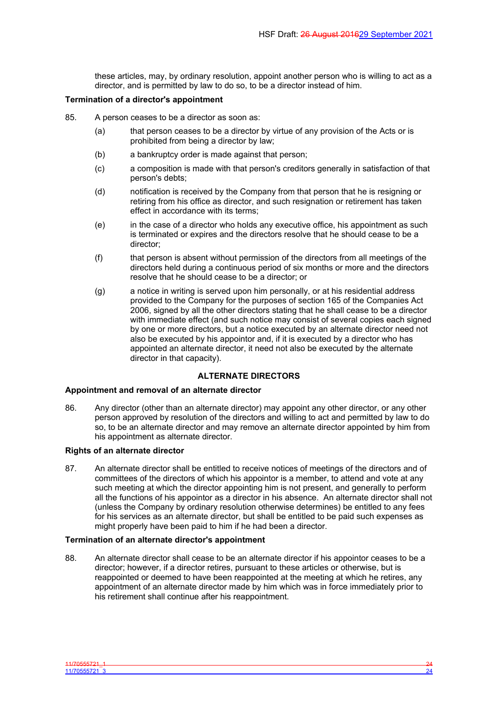these articles, may, by ordinary resolution, appoint another person who is willing to act as a director, and is permitted by law to do so, to be a director instead of him.

## **Termination of a director's appointment**

- 85. A person ceases to be a director as soon as:
	- (a) that person ceases to be a director by virtue of any provision of the Acts or is prohibited from being a director by law;
	- (b) a bankruptcy order is made against that person;
	- (c) a composition is made with that person's creditors generally in satisfaction of that person's debts;
	- (d) notification is received by the Company from that person that he is resigning or retiring from his office as director, and such resignation or retirement has taken effect in accordance with its terms;
	- (e) in the case of a director who holds any executive office, his appointment as such is terminated or expires and the directors resolve that he should cease to be a director;
	- (f) that person is absent without permission of the directors from all meetings of the directors held during a continuous period of six months or more and the directors resolve that he should cease to be a director; or
	- (g) a notice in writing is served upon him personally, or at his residential address provided to the Company for the purposes of section 165 of the Companies Act 2006, signed by all the other directors stating that he shall cease to be a director with immediate effect (and such notice may consist of several copies each signed by one or more directors, but a notice executed by an alternate director need not also be executed by his appointor and, if it is executed by a director who has appointed an alternate director, it need not also be executed by the alternate director in that capacity).

## <span id="page-25-0"></span>**ALTERNATE DIRECTORS**

# **Appointment and removal of an alternate director**

86. Any director (other than an alternate director) may appoint any other director, or any other person approved by resolution of the directors and willing to act and permitted by law to do so, to be an alternate director and may remove an alternate director appointed by him from his appointment as alternate director.

### **Rights of an alternate director**

87. An alternate director shall be entitled to receive notices of meetings of the directors and of committees of the directors of which his appointor is a member, to attend and vote at any such meeting at which the director appointing him is not present, and generally to perform all the functions of his appointor as a director in his absence. An alternate director shall not (unless the Company by ordinary resolution otherwise determines) be entitled to any fees for his services as an alternate director, but shall be entitled to be paid such expenses as might properly have been paid to him if he had been a director.

### **Termination of an alternate director's appointment**

88. An alternate director shall cease to be an alternate director if his appointor ceases to be a director; however, if a director retires, pursuant to these articles or otherwise, but is reappointed or deemed to have been reappointed at the meeting at which he retires, any appointment of an alternate director made by him which was in force immediately prior to his retirement shall continue after his reappointment.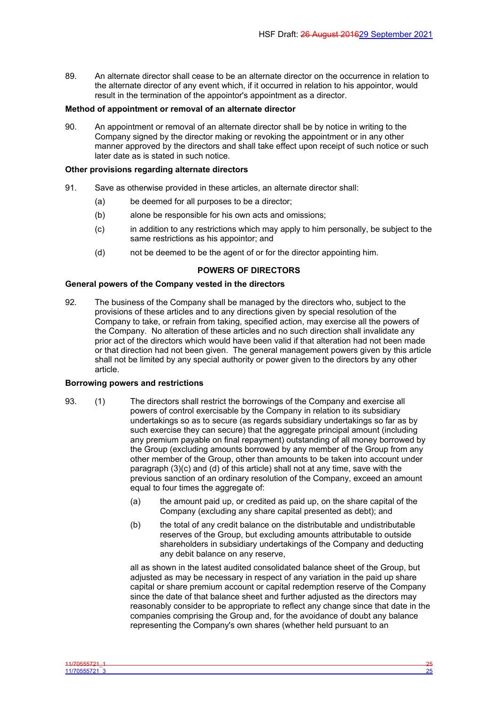89. An alternate director shall cease to be an alternate director on the occurrence in relation to the alternate director of any event which, if it occurred in relation to his appointor, would result in the termination of the appointor's appointment as a director.

## **Method of appointment or removal of an alternate director**

90. An appointment or removal of an alternate director shall be by notice in writing to the Company signed by the director making or revoking the appointment or in any other manner approved by the directors and shall take effect upon receipt of such notice or such later date as is stated in such notice.

## **Other provisions regarding alternate directors**

- 91. Save as otherwise provided in these articles, an alternate director shall:
	- (a) be deemed for all purposes to be a director;
	- (b) alone be responsible for his own acts and omissions;
	- (c) in addition to any restrictions which may apply to him personally, be subject to the same restrictions as his appointor; and
	- (d) not be deemed to be the agent of or for the director appointing him.

# <span id="page-26-0"></span>**POWERS OF DIRECTORS**

## **General powers of the Company vested in the directors**

92. The business of the Company shall be managed by the directors who, subject to the provisions of these articles and to any directions given by special resolution of the Company to take, or refrain from taking, specified action, may exercise all the powers of the Company. No alteration of these articles and no such direction shall invalidate any prior act of the directors which would have been valid if that alteration had not been made or that direction had not been given. The general management powers given by this article shall not be limited by any special authority or power given to the directors by any other article.

### **Borrowing powers and restrictions**

- 93. (1) The directors shall restrict the borrowings of the Company and exercise all powers of control exercisable by the Company in relation to its subsidiary undertakings so as to secure (as regards subsidiary undertakings so far as by such exercise they can secure) that the aggregate principal amount (including any premium payable on final repayment) outstanding of all money borrowed by the Group (excluding amounts borrowed by any member of the Group from any other member of the Group, other than amounts to be taken into account under paragraph (3)(c) and (d) of this article) shall not at any time, save with the previous sanction of an ordinary resolution of the Company, exceed an amount equal to four times the aggregate of:
	- (a) the amount paid up, or credited as paid up, on the share capital of the Company (excluding any share capital presented as debt); and
	- (b) the total of any credit balance on the distributable and undistributable reserves of the Group, but excluding amounts attributable to outside shareholders in subsidiary undertakings of the Company and deducting any debit balance on any reserve,

all as shown in the latest audited consolidated balance sheet of the Group, but adjusted as may be necessary in respect of any variation in the paid up share capital or share premium account or capital redemption reserve of the Company since the date of that balance sheet and further adjusted as the directors may reasonably consider to be appropriate to reflect any change since that date in the companies comprising the Group and, for the avoidance of doubt any balance representing the Company's own shares (whether held pursuant to an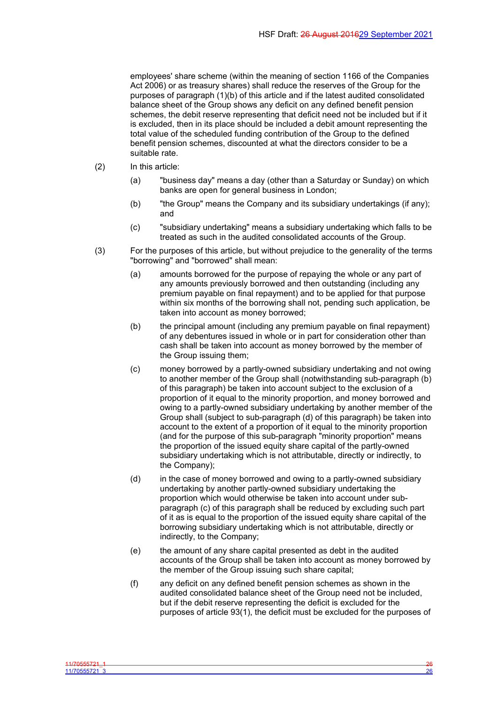employees' share scheme (within the meaning of section 1166 of the Companies Act 2006) or as treasury shares) shall reduce the reserves of the Group for the purposes of paragraph (1)(b) of this article and if the latest audited consolidated balance sheet of the Group shows any deficit on any defined benefit pension schemes, the debit reserve representing that deficit need not be included but if it is excluded, then in its place should be included a debit amount representing the total value of the scheduled funding contribution of the Group to the defined benefit pension schemes, discounted at what the directors consider to be a suitable rate.

- (2) In this article:
	- (a) "business day" means a day (other than a Saturday or Sunday) on which banks are open for general business in London;
	- (b) "the Group" means the Company and its subsidiary undertakings (if any); and
	- (c) "subsidiary undertaking" means a subsidiary undertaking which falls to be treated as such in the audited consolidated accounts of the Group.
- (3) For the purposes of this article, but without prejudice to the generality of the terms "borrowing" and "borrowed" shall mean:
	- (a) amounts borrowed for the purpose of repaying the whole or any part of any amounts previously borrowed and then outstanding (including any premium payable on final repayment) and to be applied for that purpose within six months of the borrowing shall not, pending such application, be taken into account as money borrowed;
	- (b) the principal amount (including any premium payable on final repayment) of any debentures issued in whole or in part for consideration other than cash shall be taken into account as money borrowed by the member of the Group issuing them;
	- (c) money borrowed by a partly-owned subsidiary undertaking and not owing to another member of the Group shall (notwithstanding sub-paragraph (b) of this paragraph) be taken into account subject to the exclusion of a proportion of it equal to the minority proportion, and money borrowed and owing to a partly-owned subsidiary undertaking by another member of the Group shall (subject to sub-paragraph (d) of this paragraph) be taken into account to the extent of a proportion of it equal to the minority proportion (and for the purpose of this sub-paragraph "minority proportion" means the proportion of the issued equity share capital of the partly-owned subsidiary undertaking which is not attributable, directly or indirectly, to the Company);
	- (d) in the case of money borrowed and owing to a partly-owned subsidiary undertaking by another partly-owned subsidiary undertaking the proportion which would otherwise be taken into account under subparagraph (c) of this paragraph shall be reduced by excluding such part of it as is equal to the proportion of the issued equity share capital of the borrowing subsidiary undertaking which is not attributable, directly or indirectly, to the Company;
	- (e) the amount of any share capital presented as debt in the audited accounts of the Group shall be taken into account as money borrowed by the member of the Group issuing such share capital;
	- (f) any deficit on any defined benefit pension schemes as shown in the audited consolidated balance sheet of the Group need not be included, but if the debit reserve representing the deficit is excluded for the purposes of article 93(1), the deficit must be excluded for the purposes of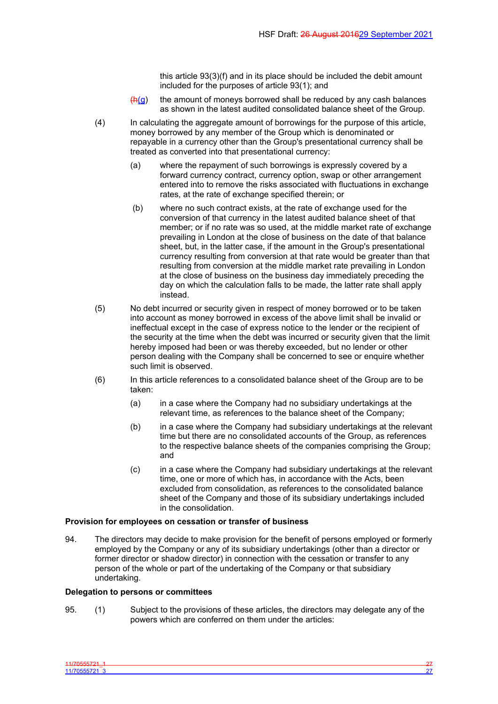this article 93(3)(f) and in its place should be included the debit amount included for the purposes of article 93(1); and

- $(h(a))$  the amount of moneys borrowed shall be reduced by any cash balances as shown in the latest audited consolidated balance sheet of the Group.
- (4) In calculating the aggregate amount of borrowings for the purpose of this article, money borrowed by any member of the Group which is denominated or repayable in a currency other than the Group's presentational currency shall be treated as converted into that presentational currency:
	- (a) where the repayment of such borrowings is expressly covered by a forward currency contract, currency option, swap or other arrangement entered into to remove the risks associated with fluctuations in exchange rates, at the rate of exchange specified therein; or
	- (b) where no such contract exists, at the rate of exchange used for the conversion of that currency in the latest audited balance sheet of that member; or if no rate was so used, at the middle market rate of exchange prevailing in London at the close of business on the date of that balance sheet, but, in the latter case, if the amount in the Group's presentational currency resulting from conversion at that rate would be greater than that resulting from conversion at the middle market rate prevailing in London at the close of business on the business day immediately preceding the day on which the calculation falls to be made, the latter rate shall apply instead.
- (5) No debt incurred or security given in respect of money borrowed or to be taken into account as money borrowed in excess of the above limit shall be invalid or ineffectual except in the case of express notice to the lender or the recipient of the security at the time when the debt was incurred or security given that the limit hereby imposed had been or was thereby exceeded, but no lender or other person dealing with the Company shall be concerned to see or enquire whether such limit is observed.
- (6) In this article references to a consolidated balance sheet of the Group are to be taken:
	- (a) in a case where the Company had no subsidiary undertakings at the relevant time, as references to the balance sheet of the Company;
	- (b) in a case where the Company had subsidiary undertakings at the relevant time but there are no consolidated accounts of the Group, as references to the respective balance sheets of the companies comprising the Group; and
	- (c) in a case where the Company had subsidiary undertakings at the relevant time, one or more of which has, in accordance with the Acts, been excluded from consolidation, as references to the consolidated balance sheet of the Company and those of its subsidiary undertakings included in the consolidation.

### **Provision for employees on cessation or transfer of business**

94. The directors may decide to make provision for the benefit of persons employed or formerly employed by the Company or any of its subsidiary undertakings (other than a director or former director or shadow director) in connection with the cessation or transfer to any person of the whole or part of the undertaking of the Company or that subsidiary undertaking.

#### **Delegation to persons or committees**

95. (1) Subject to the provisions of these articles, the directors may delegate any of the powers which are conferred on them under the articles: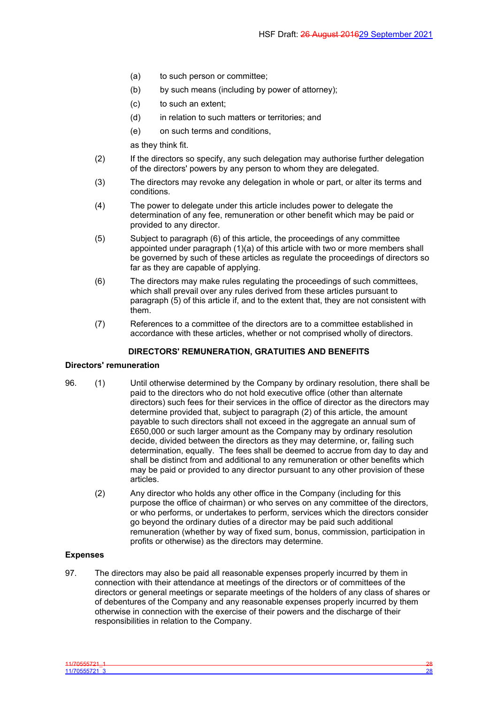- (a) to such person or committee;
- (b) by such means (including by power of attorney);
- (c) to such an extent;
- (d) in relation to such matters or territories; and
- (e) on such terms and conditions,

as they think fit.

- (2) If the directors so specify, any such delegation may authorise further delegation of the directors' powers by any person to whom they are delegated.
- (3) The directors may revoke any delegation in whole or part, or alter its terms and conditions.
- (4) The power to delegate under this article includes power to delegate the determination of any fee, remuneration or other benefit which may be paid or provided to any director.
- (5) Subject to paragraph (6) of this article, the proceedings of any committee appointed under paragraph (1)(a) of this article with two or more members shall be governed by such of these articles as regulate the proceedings of directors so far as they are capable of applying.
- (6) The directors may make rules regulating the proceedings of such committees, which shall prevail over any rules derived from these articles pursuant to paragraph (5) of this article if, and to the extent that, they are not consistent with them.
- (7) References to a committee of the directors are to a committee established in accordance with these articles, whether or not comprised wholly of directors.

## <span id="page-29-0"></span>**DIRECTORS' REMUNERATION, GRATUITIES AND BENEFITS**

### **Directors' remuneration**

- 96. (1) Until otherwise determined by the Company by ordinary resolution, there shall be paid to the directors who do not hold executive office (other than alternate directors) such fees for their services in the office of director as the directors may determine provided that, subject to paragraph (2) of this article, the amount payable to such directors shall not exceed in the aggregate an annual sum of £650,000 or such larger amount as the Company may by ordinary resolution decide, divided between the directors as they may determine, or, failing such determination, equally. The fees shall be deemed to accrue from day to day and shall be distinct from and additional to any remuneration or other benefits which may be paid or provided to any director pursuant to any other provision of these articles.
	- (2) Any director who holds any other office in the Company (including for this purpose the office of chairman) or who serves on any committee of the directors, or who performs, or undertakes to perform, services which the directors consider go beyond the ordinary duties of a director may be paid such additional remuneration (whether by way of fixed sum, bonus, commission, participation in profits or otherwise) as the directors may determine.

# **Expenses**

97. The directors may also be paid all reasonable expenses properly incurred by them in connection with their attendance at meetings of the directors or of committees of the directors or general meetings or separate meetings of the holders of any class of shares or of debentures of the Company and any reasonable expenses properly incurred by them otherwise in connection with the exercise of their powers and the discharge of their responsibilities in relation to the Company.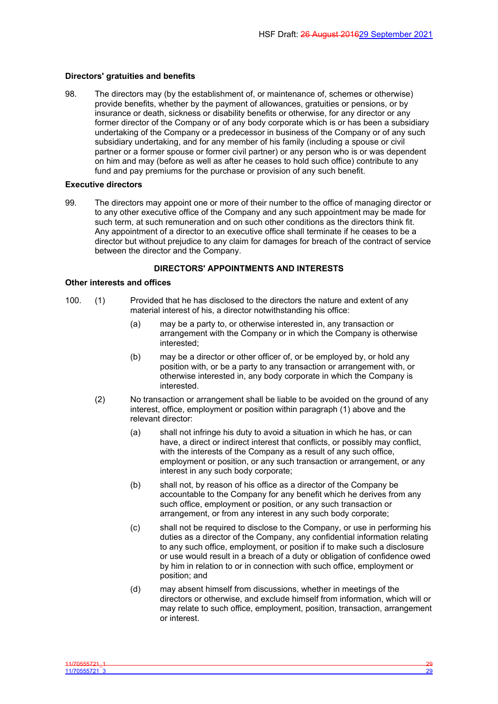#### **Directors' gratuities and benefits**

98. The directors may (by the establishment of, or maintenance of, schemes or otherwise) provide benefits, whether by the payment of allowances, gratuities or pensions, or by insurance or death, sickness or disability benefits or otherwise, for any director or any former director of the Company or of any body corporate which is or has been a subsidiary undertaking of the Company or a predecessor in business of the Company or of any such subsidiary undertaking, and for any member of his family (including a spouse or civil partner or a former spouse or former civil partner) or any person who is or was dependent on him and may (before as well as after he ceases to hold such office) contribute to any fund and pay premiums for the purchase or provision of any such benefit.

#### **Executive directors**

99. The directors may appoint one or more of their number to the office of managing director or to any other executive office of the Company and any such appointment may be made for such term, at such remuneration and on such other conditions as the directors think fit. Any appointment of a director to an executive office shall terminate if he ceases to be a director but without prejudice to any claim for damages for breach of the contract of service between the director and the Company.

## <span id="page-30-0"></span>**DIRECTORS' APPOINTMENTS AND INTERESTS**

#### **Other interests and offices**

- 100. (1) Provided that he has disclosed to the directors the nature and extent of any material interest of his, a director notwithstanding his office:
	- (a) may be a party to, or otherwise interested in, any transaction or arrangement with the Company or in which the Company is otherwise interested;
	- (b) may be a director or other officer of, or be employed by, or hold any position with, or be a party to any transaction or arrangement with, or otherwise interested in, any body corporate in which the Company is interested.
	- (2) No transaction or arrangement shall be liable to be avoided on the ground of any interest, office, employment or position within paragraph (1) above and the relevant director:
		- (a) shall not infringe his duty to avoid a situation in which he has, or can have, a direct or indirect interest that conflicts, or possibly may conflict, with the interests of the Company as a result of any such office, employment or position, or any such transaction or arrangement, or any interest in any such body corporate;
		- (b) shall not, by reason of his office as a director of the Company be accountable to the Company for any benefit which he derives from any such office, employment or position, or any such transaction or arrangement, or from any interest in any such body corporate;
		- (c) shall not be required to disclose to the Company, or use in performing his duties as a director of the Company, any confidential information relating to any such office, employment, or position if to make such a disclosure or use would result in a breach of a duty or obligation of confidence owed by him in relation to or in connection with such office, employment or position; and
		- (d) may absent himself from discussions, whether in meetings of the directors or otherwise, and exclude himself from information, which will or may relate to such office, employment, position, transaction, arrangement or interest.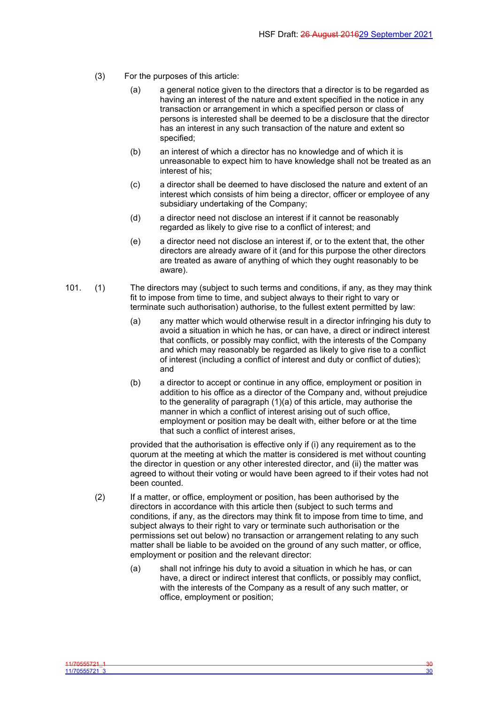- (3) For the purposes of this article:
	- (a) a general notice given to the directors that a director is to be regarded as having an interest of the nature and extent specified in the notice in any transaction or arrangement in which a specified person or class of persons is interested shall be deemed to be a disclosure that the director has an interest in any such transaction of the nature and extent so specified;
	- (b) an interest of which a director has no knowledge and of which it is unreasonable to expect him to have knowledge shall not be treated as an interest of his;
	- (c) a director shall be deemed to have disclosed the nature and extent of an interest which consists of him being a director, officer or employee of any subsidiary undertaking of the Company;
	- (d) a director need not disclose an interest if it cannot be reasonably regarded as likely to give rise to a conflict of interest; and
	- (e) a director need not disclose an interest if, or to the extent that, the other directors are already aware of it (and for this purpose the other directors are treated as aware of anything of which they ought reasonably to be aware).
- 101. (1) The directors may (subject to such terms and conditions, if any, as they may think fit to impose from time to time, and subject always to their right to vary or terminate such authorisation) authorise, to the fullest extent permitted by law:
	- (a) any matter which would otherwise result in a director infringing his duty to avoid a situation in which he has, or can have, a direct or indirect interest that conflicts, or possibly may conflict, with the interests of the Company and which may reasonably be regarded as likely to give rise to a conflict of interest (including a conflict of interest and duty or conflict of duties); and
	- (b) a director to accept or continue in any office, employment or position in addition to his office as a director of the Company and, without prejudice to the generality of paragraph (1)(a) of this article, may authorise the manner in which a conflict of interest arising out of such office, employment or position may be dealt with, either before or at the time that such a conflict of interest arises,

provided that the authorisation is effective only if (i) any requirement as to the quorum at the meeting at which the matter is considered is met without counting the director in question or any other interested director, and (ii) the matter was agreed to without their voting or would have been agreed to if their votes had not been counted.

- (2) If a matter, or office, employment or position, has been authorised by the directors in accordance with this article then (subject to such terms and conditions, if any, as the directors may think fit to impose from time to time, and subject always to their right to vary or terminate such authorisation or the permissions set out below) no transaction or arrangement relating to any such matter shall be liable to be avoided on the ground of any such matter, or office, employment or position and the relevant director:
	- (a) shall not infringe his duty to avoid a situation in which he has, or can have, a direct or indirect interest that conflicts, or possibly may conflict, with the interests of the Company as a result of any such matter, or office, employment or position;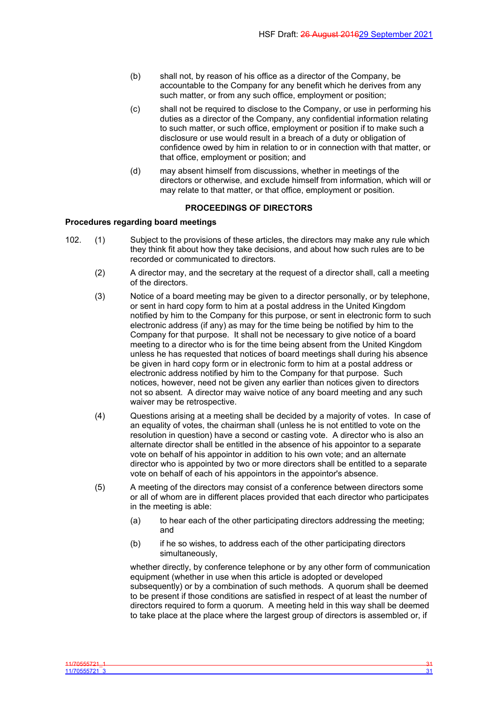- (b) shall not, by reason of his office as a director of the Company, be accountable to the Company for any benefit which he derives from any such matter, or from any such office, employment or position;
- (c) shall not be required to disclose to the Company, or use in performing his duties as a director of the Company, any confidential information relating to such matter, or such office, employment or position if to make such a disclosure or use would result in a breach of a duty or obligation of confidence owed by him in relation to or in connection with that matter, or that office, employment or position; and
- (d) may absent himself from discussions, whether in meetings of the directors or otherwise, and exclude himself from information, which will or may relate to that matter, or that office, employment or position.

# <span id="page-32-0"></span>**PROCEEDINGS OF DIRECTORS**

## **Procedures regarding board meetings**

- 102. (1) Subject to the provisions of these articles, the directors may make any rule which they think fit about how they take decisions, and about how such rules are to be recorded or communicated to directors.
	- (2) A director may, and the secretary at the request of a director shall, call a meeting of the directors.
	- (3) Notice of a board meeting may be given to a director personally, or by telephone, or sent in hard copy form to him at a postal address in the United Kingdom notified by him to the Company for this purpose, or sent in electronic form to such electronic address (if any) as may for the time being be notified by him to the Company for that purpose. It shall not be necessary to give notice of a board meeting to a director who is for the time being absent from the United Kingdom unless he has requested that notices of board meetings shall during his absence be given in hard copy form or in electronic form to him at a postal address or electronic address notified by him to the Company for that purpose. Such notices, however, need not be given any earlier than notices given to directors not so absent. A director may waive notice of any board meeting and any such waiver may be retrospective.
	- (4) Questions arising at a meeting shall be decided by a majority of votes. In case of an equality of votes, the chairman shall (unless he is not entitled to vote on the resolution in question) have a second or casting vote. A director who is also an alternate director shall be entitled in the absence of his appointor to a separate vote on behalf of his appointor in addition to his own vote; and an alternate director who is appointed by two or more directors shall be entitled to a separate vote on behalf of each of his appointors in the appointor's absence.
	- (5) A meeting of the directors may consist of a conference between directors some or all of whom are in different places provided that each director who participates in the meeting is able:
		- (a) to hear each of the other participating directors addressing the meeting; and
		- (b) if he so wishes, to address each of the other participating directors simultaneously,

whether directly, by conference telephone or by any other form of communication equipment (whether in use when this article is adopted or developed subsequently) or by a combination of such methods. A quorum shall be deemed to be present if those conditions are satisfied in respect of at least the number of directors required to form a quorum. A meeting held in this way shall be deemed to take place at the place where the largest group of directors is assembled or, if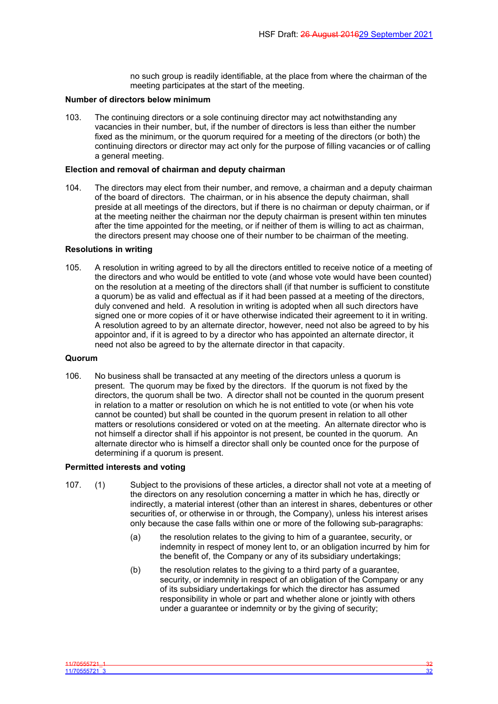no such group is readily identifiable, at the place from where the chairman of the meeting participates at the start of the meeting.

### **Number of directors below minimum**

103. The continuing directors or a sole continuing director may act notwithstanding any vacancies in their number, but, if the number of directors is less than either the number fixed as the minimum, or the quorum required for a meeting of the directors (or both) the continuing directors or director may act only for the purpose of filling vacancies or of calling a general meeting.

### **Election and removal of chairman and deputy chairman**

104. The directors may elect from their number, and remove, a chairman and a deputy chairman of the board of directors. The chairman, or in his absence the deputy chairman, shall preside at all meetings of the directors, but if there is no chairman or deputy chairman, or if at the meeting neither the chairman nor the deputy chairman is present within ten minutes after the time appointed for the meeting, or if neither of them is willing to act as chairman, the directors present may choose one of their number to be chairman of the meeting.

### **Resolutions in writing**

105. A resolution in writing agreed to by all the directors entitled to receive notice of a meeting of the directors and who would be entitled to vote (and whose vote would have been counted) on the resolution at a meeting of the directors shall (if that number is sufficient to constitute a quorum) be as valid and effectual as if it had been passed at a meeting of the directors, duly convened and held. A resolution in writing is adopted when all such directors have signed one or more copies of it or have otherwise indicated their agreement to it in writing. A resolution agreed to by an alternate director, however, need not also be agreed to by his appointor and, if it is agreed to by a director who has appointed an alternate director, it need not also be agreed to by the alternate director in that capacity.

#### **Quorum**

106. No business shall be transacted at any meeting of the directors unless a quorum is present. The quorum may be fixed by the directors. If the quorum is not fixed by the directors, the quorum shall be two. A director shall not be counted in the quorum present in relation to a matter or resolution on which he is not entitled to vote (or when his vote cannot be counted) but shall be counted in the quorum present in relation to all other matters or resolutions considered or voted on at the meeting. An alternate director who is not himself a director shall if his appointor is not present, be counted in the quorum. An alternate director who is himself a director shall only be counted once for the purpose of determining if a quorum is present.

### **Permitted interests and voting**

- 107. (1) Subject to the provisions of these articles, a director shall not vote at a meeting of the directors on any resolution concerning a matter in which he has, directly or indirectly, a material interest (other than an interest in shares, debentures or other securities of, or otherwise in or through, the Company), unless his interest arises only because the case falls within one or more of the following sub-paragraphs:
	- (a) the resolution relates to the giving to him of a guarantee, security, or indemnity in respect of money lent to, or an obligation incurred by him for the benefit of, the Company or any of its subsidiary undertakings;
	- (b) the resolution relates to the giving to a third party of a guarantee, security, or indemnity in respect of an obligation of the Company or any of its subsidiary undertakings for which the director has assumed responsibility in whole or part and whether alone or jointly with others under a guarantee or indemnity or by the giving of security;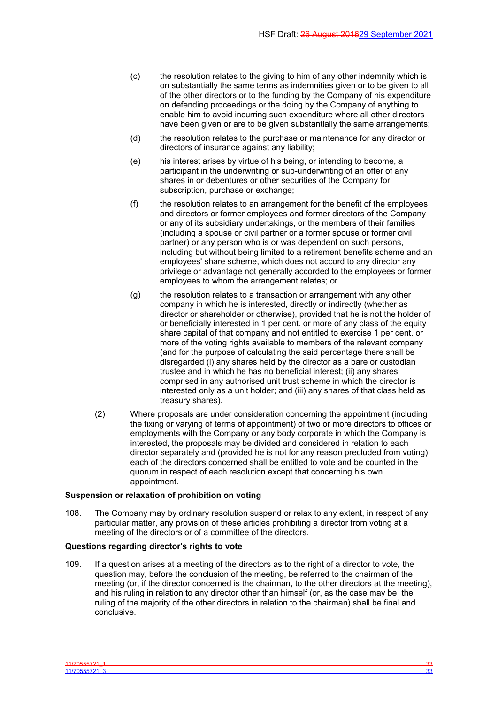- (c) the resolution relates to the giving to him of any other indemnity which is on substantially the same terms as indemnities given or to be given to all of the other directors or to the funding by the Company of his expenditure on defending proceedings or the doing by the Company of anything to enable him to avoid incurring such expenditure where all other directors have been given or are to be given substantially the same arrangements;
- (d) the resolution relates to the purchase or maintenance for any director or directors of insurance against any liability;
- (e) his interest arises by virtue of his being, or intending to become, a participant in the underwriting or sub-underwriting of an offer of any shares in or debentures or other securities of the Company for subscription, purchase or exchange:
- (f) the resolution relates to an arrangement for the benefit of the employees and directors or former employees and former directors of the Company or any of its subsidiary undertakings, or the members of their families (including a spouse or civil partner or a former spouse or former civil partner) or any person who is or was dependent on such persons, including but without being limited to a retirement benefits scheme and an employees' share scheme, which does not accord to any director any privilege or advantage not generally accorded to the employees or former employees to whom the arrangement relates; or
- (g) the resolution relates to a transaction or arrangement with any other company in which he is interested, directly or indirectly (whether as director or shareholder or otherwise), provided that he is not the holder of or beneficially interested in 1 per cent. or more of any class of the equity share capital of that company and not entitled to exercise 1 per cent. or more of the voting rights available to members of the relevant company (and for the purpose of calculating the said percentage there shall be disregarded (i) any shares held by the director as a bare or custodian trustee and in which he has no beneficial interest; (ii) any shares comprised in any authorised unit trust scheme in which the director is interested only as a unit holder; and (iii) any shares of that class held as treasury shares).
- (2) Where proposals are under consideration concerning the appointment (including the fixing or varying of terms of appointment) of two or more directors to offices or employments with the Company or any body corporate in which the Company is interested, the proposals may be divided and considered in relation to each director separately and (provided he is not for any reason precluded from voting) each of the directors concerned shall be entitled to vote and be counted in the quorum in respect of each resolution except that concerning his own appointment.

#### **Suspension or relaxation of prohibition on voting**

108. The Company may by ordinary resolution suspend or relax to any extent, in respect of any particular matter, any provision of these articles prohibiting a director from voting at a meeting of the directors or of a committee of the directors.

## **Questions regarding director's rights to vote**

109. If a question arises at a meeting of the directors as to the right of a director to vote, the question may, before the conclusion of the meeting, be referred to the chairman of the meeting (or, if the director concerned is the chairman, to the other directors at the meeting), and his ruling in relation to any director other than himself (or, as the case may be, the ruling of the majority of the other directors in relation to the chairman) shall be final and conclusive.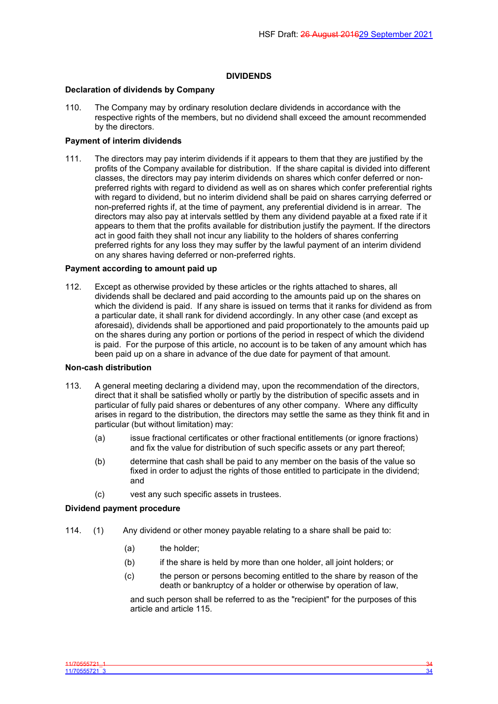## <span id="page-35-0"></span>**DIVIDENDS**

## **Declaration of dividends by Company**

110. The Company may by ordinary resolution declare dividends in accordance with the respective rights of the members, but no dividend shall exceed the amount recommended by the directors.

#### **Payment of interim dividends**

111. The directors may pay interim dividends if it appears to them that they are justified by the profits of the Company available for distribution. If the share capital is divided into different classes, the directors may pay interim dividends on shares which confer deferred or nonpreferred rights with regard to dividend as well as on shares which confer preferential rights with regard to dividend, but no interim dividend shall be paid on shares carrying deferred or non-preferred rights if, at the time of payment, any preferential dividend is in arrear. The directors may also pay at intervals settled by them any dividend payable at a fixed rate if it appears to them that the profits available for distribution justify the payment. If the directors act in good faith they shall not incur any liability to the holders of shares conferring preferred rights for any loss they may suffer by the lawful payment of an interim dividend on any shares having deferred or non-preferred rights.

#### **Payment according to amount paid up**

112. Except as otherwise provided by these articles or the rights attached to shares, all dividends shall be declared and paid according to the amounts paid up on the shares on which the dividend is paid. If any share is issued on terms that it ranks for dividend as from a particular date, it shall rank for dividend accordingly. In any other case (and except as aforesaid), dividends shall be apportioned and paid proportionately to the amounts paid up on the shares during any portion or portions of the period in respect of which the dividend is paid. For the purpose of this article, no account is to be taken of any amount which has been paid up on a share in advance of the due date for payment of that amount.

#### **Non-cash distribution**

- 113. A general meeting declaring a dividend may, upon the recommendation of the directors, direct that it shall be satisfied wholly or partly by the distribution of specific assets and in particular of fully paid shares or debentures of any other company. Where any difficulty arises in regard to the distribution, the directors may settle the same as they think fit and in particular (but without limitation) may:
	- (a) issue fractional certificates or other fractional entitlements (or ignore fractions) and fix the value for distribution of such specific assets or any part thereof;
	- (b) determine that cash shall be paid to any member on the basis of the value so fixed in order to adjust the rights of those entitled to participate in the dividend; and
	- (c) vest any such specific assets in trustees.

### **Dividend payment procedure**

- 114. (1) Any dividend or other money payable relating to a share shall be paid to:
	- (a) the holder;
	- (b) if the share is held by more than one holder, all joint holders; or
	- (c) the person or persons becoming entitled to the share by reason of the death or bankruptcy of a holder or otherwise by operation of law,

and such person shall be referred to as the "recipient" for the purposes of this article and article [115.](#page-36-0)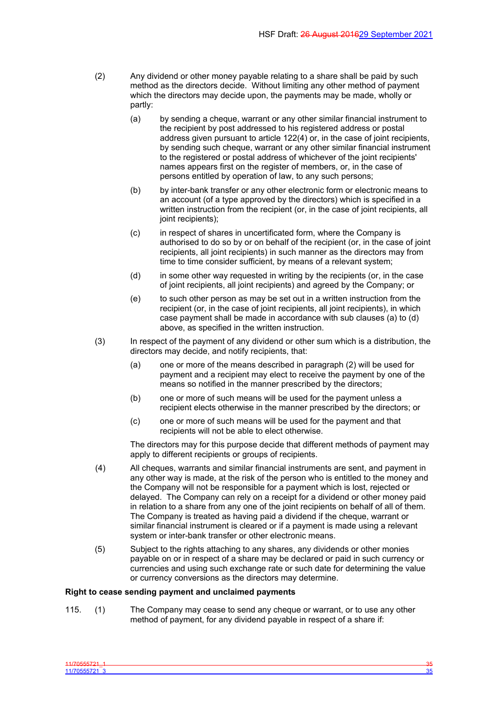- (2) Any dividend or other money payable relating to a share shall be paid by such method as the directors decide. Without limiting any other method of payment which the directors may decide upon, the payments may be made, wholly or partly:
	- (a) by sending a cheque, warrant or any other similar financial instrument to the recipient by post addressed to his registered address or postal address given pursuant to article 122(4) or, in the case of joint recipients, by sending such cheque, warrant or any other similar financial instrument to the registered or postal address of whichever of the joint recipients' names appears first on the register of members, or, in the case of persons entitled by operation of law, to any such persons;
	- (b) by inter-bank transfer or any other electronic form or electronic means to an account (of a type approved by the directors) which is specified in a written instruction from the recipient (or, in the case of joint recipients, all joint recipients);
	- (c) in respect of shares in uncertificated form, where the Company is authorised to do so by or on behalf of the recipient (or, in the case of joint recipients, all joint recipients) in such manner as the directors may from time to time consider sufficient, by means of a relevant system;
	- (d) in some other way requested in writing by the recipients (or, in the case of joint recipients, all joint recipients) and agreed by the Company; or
	- (e) to such other person as may be set out in a written instruction from the recipient (or, in the case of joint recipients, all joint recipients), in which case payment shall be made in accordance with sub clauses (a) to (d) above, as specified in the written instruction.
- (3) In respect of the payment of any dividend or other sum which is a distribution, the directors may decide, and notify recipients, that:
	- (a) one or more of the means described in paragraph (2) will be used for payment and a recipient may elect to receive the payment by one of the means so notified in the manner prescribed by the directors;
	- (b) one or more of such means will be used for the payment unless a recipient elects otherwise in the manner prescribed by the directors; or
	- (c) one or more of such means will be used for the payment and that recipients will not be able to elect otherwise.

The directors may for this purpose decide that different methods of payment may apply to different recipients or groups of recipients.

- (4) All cheques, warrants and similar financial instruments are sent, and payment in any other way is made, at the risk of the person who is entitled to the money and the Company will not be responsible for a payment which is lost, rejected or delayed. The Company can rely on a receipt for a dividend or other money paid in relation to a share from any one of the joint recipients on behalf of all of them. The Company is treated as having paid a dividend if the cheque, warrant or similar financial instrument is cleared or if a payment is made using a relevant system or inter-bank transfer or other electronic means.
- (5) Subject to the rights attaching to any shares, any dividends or other monies payable on or in respect of a share may be declared or paid in such currency or currencies and using such exchange rate or such date for determining the value or currency conversions as the directors may determine.

#### **Right to cease sending payment and unclaimed payments**

<span id="page-36-0"></span>115. (1) The Company may cease to send any cheque or warrant, or to use any other method of payment, for any dividend payable in respect of a share if: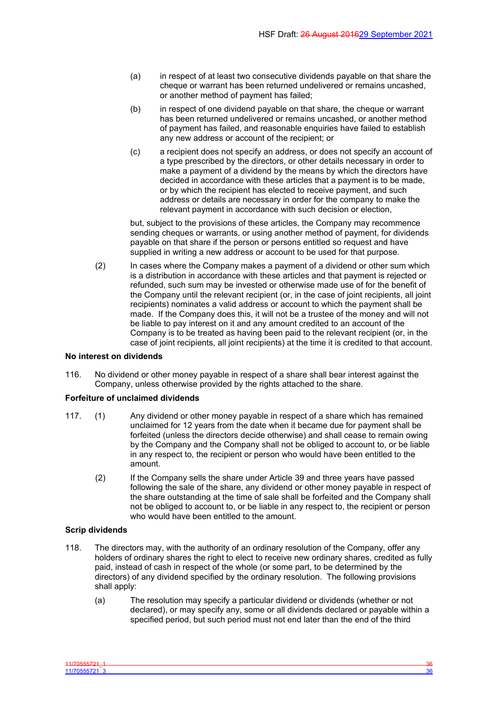- (a) in respect of at least two consecutive dividends payable on that share the cheque or warrant has been returned undelivered or remains uncashed, or another method of payment has failed;
- (b) in respect of one dividend payable on that share, the cheque or warrant has been returned undelivered or remains uncashed, or another method of payment has failed, and reasonable enquiries have failed to establish any new address or account of the recipient; or
- (c) a recipient does not specify an address, or does not specify an account of a type prescribed by the directors, or other details necessary in order to make a payment of a dividend by the means by which the directors have decided in accordance with these articles that a payment is to be made, or by which the recipient has elected to receive payment, and such address or details are necessary in order for the company to make the relevant payment in accordance with such decision or election,

but, subject to the provisions of these articles, the Company may recommence sending cheques or warrants, or using another method of payment, for dividends payable on that share if the person or persons entitled so request and have supplied in writing a new address or account to be used for that purpose.

(2) In cases where the Company makes a payment of a dividend or other sum which is a distribution in accordance with these articles and that payment is rejected or refunded, such sum may be invested or otherwise made use of for the benefit of the Company until the relevant recipient (or, in the case of joint recipients, all joint recipients) nominates a valid address or account to which the payment shall be made. If the Company does this, it will not be a trustee of the money and will not be liable to pay interest on it and any amount credited to an account of the Company is to be treated as having been paid to the relevant recipient (or, in the case of joint recipients, all joint recipients) at the time it is credited to that account.

#### **No interest on dividends**

116. No dividend or other money payable in respect of a share shall bear interest against the Company, unless otherwise provided by the rights attached to the share.

## **Forfeiture of unclaimed dividends**

- 117. (1) Any dividend or other money payable in respect of a share which has remained unclaimed for 12 years from the date when it became due for payment shall be forfeited (unless the directors decide otherwise) and shall cease to remain owing by the Company and the Company shall not be obliged to account to, or be liable in any respect to, the recipient or person who would have been entitled to the amount.
	- (2) If the Company sells the share under Article 39 and three years have passed following the sale of the share, any dividend or other money payable in respect of the share outstanding at the time of sale shall be forfeited and the Company shall not be obliged to account to, or be liable in any respect to, the recipient or person who would have been entitled to the amount.

## **Scrip dividends**

- 118. The directors may, with the authority of an ordinary resolution of the Company, offer any holders of ordinary shares the right to elect to receive new ordinary shares, credited as fully paid, instead of cash in respect of the whole (or some part, to be determined by the directors) of any dividend specified by the ordinary resolution. The following provisions shall apply:
	- (a) The resolution may specify a particular dividend or dividends (whether or not declared), or may specify any, some or all dividends declared or payable within a specified period, but such period must not end later than the end of the third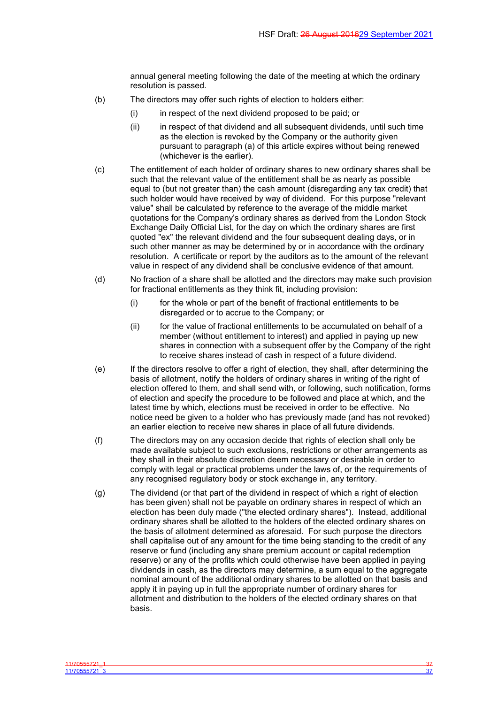annual general meeting following the date of the meeting at which the ordinary resolution is passed.

- (b) The directors may offer such rights of election to holders either:
	- (i) in respect of the next dividend proposed to be paid; or
	- (ii) in respect of that dividend and all subsequent dividends, until such time as the election is revoked by the Company or the authority given pursuant to paragraph (a) of this article expires without being renewed (whichever is the earlier).
- (c) The entitlement of each holder of ordinary shares to new ordinary shares shall be such that the relevant value of the entitlement shall be as nearly as possible equal to (but not greater than) the cash amount (disregarding any tax credit) that such holder would have received by way of dividend. For this purpose "relevant value" shall be calculated by reference to the average of the middle market quotations for the Company's ordinary shares as derived from the London Stock Exchange Daily Official List, for the day on which the ordinary shares are first quoted "ex" the relevant dividend and the four subsequent dealing days, or in such other manner as may be determined by or in accordance with the ordinary resolution. A certificate or report by the auditors as to the amount of the relevant value in respect of any dividend shall be conclusive evidence of that amount.
- (d) No fraction of a share shall be allotted and the directors may make such provision for fractional entitlements as they think fit, including provision:
	- (i) for the whole or part of the benefit of fractional entitlements to be disregarded or to accrue to the Company; or
	- (ii) for the value of fractional entitlements to be accumulated on behalf of a member (without entitlement to interest) and applied in paying up new shares in connection with a subsequent offer by the Company of the right to receive shares instead of cash in respect of a future dividend.
- (e) If the directors resolve to offer a right of election, they shall, after determining the basis of allotment, notify the holders of ordinary shares in writing of the right of election offered to them, and shall send with, or following, such notification, forms of election and specify the procedure to be followed and place at which, and the latest time by which, elections must be received in order to be effective. No notice need be given to a holder who has previously made (and has not revoked) an earlier election to receive new shares in place of all future dividends.
- (f) The directors may on any occasion decide that rights of election shall only be made available subject to such exclusions, restrictions or other arrangements as they shall in their absolute discretion deem necessary or desirable in order to comply with legal or practical problems under the laws of, or the requirements of any recognised regulatory body or stock exchange in, any territory.
- (g) The dividend (or that part of the dividend in respect of which a right of election has been given) shall not be payable on ordinary shares in respect of which an election has been duly made ("the elected ordinary shares"). Instead, additional ordinary shares shall be allotted to the holders of the elected ordinary shares on the basis of allotment determined as aforesaid. For such purpose the directors shall capitalise out of any amount for the time being standing to the credit of any reserve or fund (including any share premium account or capital redemption reserve) or any of the profits which could otherwise have been applied in paying dividends in cash, as the directors may determine, a sum equal to the aggregate nominal amount of the additional ordinary shares to be allotted on that basis and apply it in paying up in full the appropriate number of ordinary shares for allotment and distribution to the holders of the elected ordinary shares on that basis.

11/70555721\_1 37 11/70555721\_3 37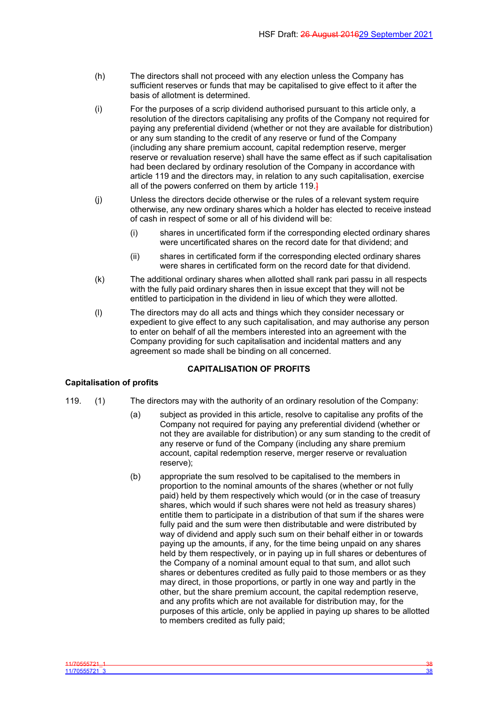- (h) The directors shall not proceed with any election unless the Company has sufficient reserves or funds that may be capitalised to give effect to it after the basis of allotment is determined.
- (i) For the purposes of a scrip dividend authorised pursuant to this article only, a resolution of the directors capitalising any profits of the Company not required for paying any preferential dividend (whether or not they are available for distribution) or any sum standing to the credit of any reserve or fund of the Company (including any share premium account, capital redemption reserve, merger reserve or revaluation reserve) shall have the same effect as if such capitalisation had been declared by ordinary resolution of the Company in accordance with article 119 and the directors may, in relation to any such capitalisation, exercise all of the powers conferred on them by article 119.
- (j) Unless the directors decide otherwise or the rules of a relevant system require otherwise, any new ordinary shares which a holder has elected to receive instead of cash in respect of some or all of his dividend will be:
	- (i) shares in uncertificated form if the corresponding elected ordinary shares were uncertificated shares on the record date for that dividend; and
	- (ii) shares in certificated form if the corresponding elected ordinary shares were shares in certificated form on the record date for that dividend.
- (k) The additional ordinary shares when allotted shall rank pari passu in all respects with the fully paid ordinary shares then in issue except that they will not be entitled to participation in the dividend in lieu of which they were allotted.
- (l) The directors may do all acts and things which they consider necessary or expedient to give effect to any such capitalisation, and may authorise any person to enter on behalf of all the members interested into an agreement with the Company providing for such capitalisation and incidental matters and any agreement so made shall be binding on all concerned.

# <span id="page-39-0"></span>**CAPITALISATION OF PROFITS**

# **Capitalisation of profits**

- 
- 119. (1) The directors may with the authority of an ordinary resolution of the Company:
	- (a) subject as provided in this article, resolve to capitalise any profits of the Company not required for paying any preferential dividend (whether or not they are available for distribution) or any sum standing to the credit of any reserve or fund of the Company (including any share premium account, capital redemption reserve, merger reserve or revaluation reserve);
	- (b) appropriate the sum resolved to be capitalised to the members in proportion to the nominal amounts of the shares (whether or not fully paid) held by them respectively which would (or in the case of treasury shares, which would if such shares were not held as treasury shares) entitle them to participate in a distribution of that sum if the shares were fully paid and the sum were then distributable and were distributed by way of dividend and apply such sum on their behalf either in or towards paying up the amounts, if any, for the time being unpaid on any shares held by them respectively, or in paying up in full shares or debentures of the Company of a nominal amount equal to that sum, and allot such shares or debentures credited as fully paid to those members or as they may direct, in those proportions, or partly in one way and partly in the other, but the share premium account, the capital redemption reserve, and any profits which are not available for distribution may, for the purposes of this article, only be applied in paying up shares to be allotted to members credited as fully paid;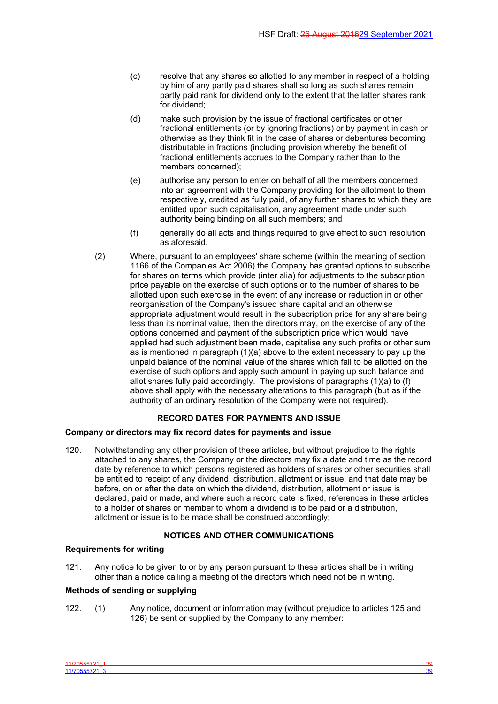- (c) resolve that any shares so allotted to any member in respect of a holding by him of any partly paid shares shall so long as such shares remain partly paid rank for dividend only to the extent that the latter shares rank for dividend;
- (d) make such provision by the issue of fractional certificates or other fractional entitlements (or by ignoring fractions) or by payment in cash or otherwise as they think fit in the case of shares or debentures becoming distributable in fractions (including provision whereby the benefit of fractional entitlements accrues to the Company rather than to the members concerned);
- (e) authorise any person to enter on behalf of all the members concerned into an agreement with the Company providing for the allotment to them respectively, credited as fully paid, of any further shares to which they are entitled upon such capitalisation, any agreement made under such authority being binding on all such members; and
- (f) generally do all acts and things required to give effect to such resolution as aforesaid.
- (2) Where, pursuant to an employees' share scheme (within the meaning of section 1166 of the Companies Act 2006) the Company has granted options to subscribe for shares on terms which provide (inter alia) for adjustments to the subscription price payable on the exercise of such options or to the number of shares to be allotted upon such exercise in the event of any increase or reduction in or other reorganisation of the Company's issued share capital and an otherwise appropriate adjustment would result in the subscription price for any share being less than its nominal value, then the directors may, on the exercise of any of the options concerned and payment of the subscription price which would have applied had such adjustment been made, capitalise any such profits or other sum as is mentioned in paragraph (1)(a) above to the extent necessary to pay up the unpaid balance of the nominal value of the shares which fall to be allotted on the exercise of such options and apply such amount in paying up such balance and allot shares fully paid accordingly. The provisions of paragraphs (1)(a) to (f) above shall apply with the necessary alterations to this paragraph (but as if the authority of an ordinary resolution of the Company were not required).

# <span id="page-40-0"></span>**RECORD DATES FOR PAYMENTS AND ISSUE**

### **Company or directors may fix record dates for payments and issue**

120. Notwithstanding any other provision of these articles, but without prejudice to the rights attached to any shares, the Company or the directors may fix a date and time as the record date by reference to which persons registered as holders of shares or other securities shall be entitled to receipt of any dividend, distribution, allotment or issue, and that date may be before, on or after the date on which the dividend, distribution, allotment or issue is declared, paid or made, and where such a record date is fixed, references in these articles to a holder of shares or member to whom a dividend is to be paid or a distribution, allotment or issue is to be made shall be construed accordingly;

# <span id="page-40-1"></span>**NOTICES AND OTHER COMMUNICATIONS**

### **Requirements for writing**

121. Any notice to be given to or by any person pursuant to these articles shall be in writing other than a notice calling a meeting of the directors which need not be in writing.

## **Methods of sending or supplying**

122. (1) Any notice, document or information may (without prejudice to articles 125 and 126) be sent or supplied by the Company to any member: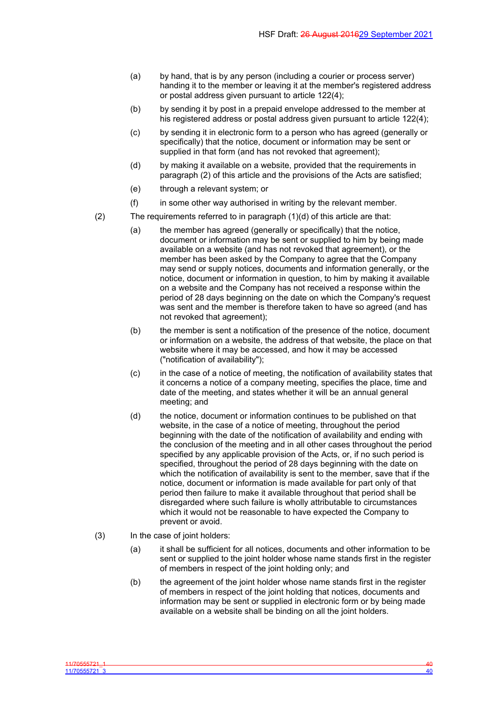- (a) by hand, that is by any person (including a courier or process server) handing it to the member or leaving it at the member's registered address or postal address given pursuant to article 122(4);
- (b) by sending it by post in a prepaid envelope addressed to the member at his registered address or postal address given pursuant to article 122(4);
- (c) by sending it in electronic form to a person who has agreed (generally or specifically) that the notice, document or information may be sent or supplied in that form (and has not revoked that agreement);
- (d) by making it available on a website, provided that the requirements in paragraph (2) of this article and the provisions of the Acts are satisfied;
- (e) through a relevant system; or
- (f) in some other way authorised in writing by the relevant member.
- (2) The requirements referred to in paragraph (1)(d) of this article are that:
	- (a) the member has agreed (generally or specifically) that the notice, document or information may be sent or supplied to him by being made available on a website (and has not revoked that agreement), or the member has been asked by the Company to agree that the Company may send or supply notices, documents and information generally, or the notice, document or information in question, to him by making it available on a website and the Company has not received a response within the period of 28 days beginning on the date on which the Company's request was sent and the member is therefore taken to have so agreed (and has not revoked that agreement);
	- (b) the member is sent a notification of the presence of the notice, document or information on a website, the address of that website, the place on that website where it may be accessed, and how it may be accessed ("notification of availability");
	- (c) in the case of a notice of meeting, the notification of availability states that it concerns a notice of a company meeting, specifies the place, time and date of the meeting, and states whether it will be an annual general meeting; and
	- (d) the notice, document or information continues to be published on that website, in the case of a notice of meeting, throughout the period beginning with the date of the notification of availability and ending with the conclusion of the meeting and in all other cases throughout the period specified by any applicable provision of the Acts, or, if no such period is specified, throughout the period of 28 days beginning with the date on which the notification of availability is sent to the member, save that if the notice, document or information is made available for part only of that period then failure to make it available throughout that period shall be disregarded where such failure is wholly attributable to circumstances which it would not be reasonable to have expected the Company to prevent or avoid.
- (3) In the case of joint holders:
	- (a) it shall be sufficient for all notices, documents and other information to be sent or supplied to the joint holder whose name stands first in the register of members in respect of the joint holding only; and
	- (b) the agreement of the joint holder whose name stands first in the register of members in respect of the joint holding that notices, documents and information may be sent or supplied in electronic form or by being made available on a website shall be binding on all the joint holders.

11/70555721\_1 40 11/70555721\_3 40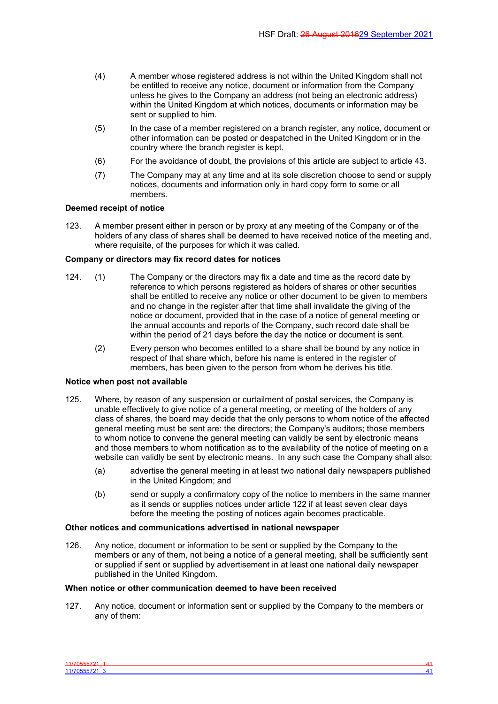- (4) A member whose registered address is not within the United Kingdom shall not be entitled to receive any notice, document or information from the Company unless he gives to the Company an address (not being an electronic address) within the United Kingdom at which notices, documents or information may be sent or supplied to him.
- (5) In the case of a member registered on a branch register, any notice, document or other information can be posted or despatched in the United Kingdom or in the country where the branch register is kept.
- (6) For the avoidance of doubt, the provisions of this article are subject to article 43.
- (7) The Company may at any time and at its sole discretion choose to send or supply notices, documents and information only in hard copy form to some or all members.

### **Deemed receipt of notice**

123. A member present either in person or by proxy at any meeting of the Company or of the holders of any class of shares shall be deemed to have received notice of the meeting and, where requisite, of the purposes for which it was called.

### **Company or directors may fix record dates for notices**

- 124. (1) The Company or the directors may fix a date and time as the record date by reference to which persons registered as holders of shares or other securities shall be entitled to receive any notice or other document to be given to members and no change in the register after that time shall invalidate the giving of the notice or document, provided that in the case of a notice of general meeting or the annual accounts and reports of the Company, such record date shall be within the period of 21 days before the day the notice or document is sent.
	- (2) Every person who becomes entitled to a share shall be bound by any notice in respect of that share which, before his name is entered in the register of members, has been given to the person from whom he derives his title.

# **Notice when post not available**

- 125. Where, by reason of any suspension or curtailment of postal services, the Company is unable effectively to give notice of a general meeting, or meeting of the holders of any class of shares, the board may decide that the only persons to whom notice of the affected general meeting must be sent are: the directors; the Company's auditors; those members to whom notice to convene the general meeting can validly be sent by electronic means and those members to whom notification as to the availability of the notice of meeting on a website can validly be sent by electronic means. In any such case the Company shall also:
	- (a) advertise the general meeting in at least two national daily newspapers published in the United Kingdom; and
	- (b) send or supply a confirmatory copy of the notice to members in the same manner as it sends or supplies notices under article 122 if at least seven clear days before the meeting the posting of notices again becomes practicable.

# **Other notices and communications advertised in national newspaper**

126. Any notice, document or information to be sent or supplied by the Company to the members or any of them, not being a notice of a general meeting, shall be sufficiently sent or supplied if sent or supplied by advertisement in at least one national daily newspaper published in the United Kingdom.

#### **When notice or other communication deemed to have been received**

127. Any notice, document or information sent or supplied by the Company to the members or any of them: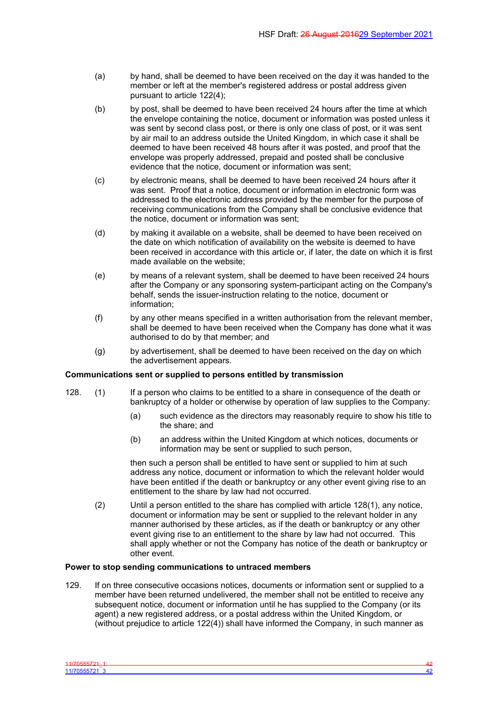- (a) by hand, shall be deemed to have been received on the day it was handed to the member or left at the member's registered address or postal address given pursuant to article 122(4);
- (b) by post, shall be deemed to have been received 24 hours after the time at which the envelope containing the notice, document or information was posted unless it was sent by second class post, or there is only one class of post, or it was sent by air mail to an address outside the United Kingdom, in which case it shall be deemed to have been received 48 hours after it was posted, and proof that the envelope was properly addressed, prepaid and posted shall be conclusive evidence that the notice, document or information was sent;
- (c) by electronic means, shall be deemed to have been received 24 hours after it was sent. Proof that a notice, document or information in electronic form was addressed to the electronic address provided by the member for the purpose of receiving communications from the Company shall be conclusive evidence that the notice, document or information was sent;
- (d) by making it available on a website, shall be deemed to have been received on the date on which notification of availability on the website is deemed to have been received in accordance with this article or, if later, the date on which it is first made available on the website;
- (e) by means of a relevant system, shall be deemed to have been received 24 hours after the Company or any sponsoring system-participant acting on the Company's behalf, sends the issuer-instruction relating to the notice, document or information;
- (f) by any other means specified in a written authorisation from the relevant member, shall be deemed to have been received when the Company has done what it was authorised to do by that member; and
- (g) by advertisement, shall be deemed to have been received on the day on which the advertisement appears.

### **Communications sent or supplied to persons entitled by transmission**

- 128. (1) If a person who claims to be entitled to a share in consequence of the death or bankruptcy of a holder or otherwise by operation of law supplies to the Company:
	- (a) such evidence as the directors may reasonably require to show his title to the share; and
	- (b) an address within the United Kingdom at which notices, documents or information may be sent or supplied to such person,

then such a person shall be entitled to have sent or supplied to him at such address any notice, document or information to which the relevant holder would have been entitled if the death or bankruptcy or any other event giving rise to an entitlement to the share by law had not occurred.

(2) Until a person entitled to the share has complied with article 128(1), any notice, document or information may be sent or supplied to the relevant holder in any manner authorised by these articles, as if the death or bankruptcy or any other event giving rise to an entitlement to the share by law had not occurred. This shall apply whether or not the Company has notice of the death or bankruptcy or other event.

### **Power to stop sending communications to untraced members**

129. If on three consecutive occasions notices, documents or information sent or supplied to a member have been returned undelivered, the member shall not be entitled to receive any subsequent notice, document or information until he has supplied to the Company (or its agent) a new registered address, or a postal address within the United Kingdom, or (without prejudice to article 122(4)) shall have informed the Company, in such manner as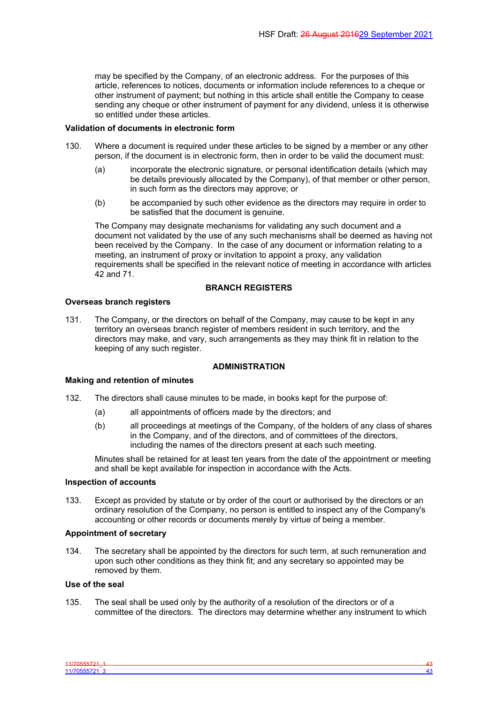may be specified by the Company, of an electronic address. For the purposes of this article, references to notices, documents or information include references to a cheque or other instrument of payment; but nothing in this article shall entitle the Company to cease sending any cheque or other instrument of payment for any dividend, unless it is otherwise so entitled under these articles.

#### **Validation of documents in electronic form**

- 130. Where a document is required under these articles to be signed by a member or any other person, if the document is in electronic form, then in order to be valid the document must:
	- (a) incorporate the electronic signature, or personal identification details (which may be details previously allocated by the Company), of that member or other person, in such form as the directors may approve; or
	- (b) be accompanied by such other evidence as the directors may require in order to be satisfied that the document is genuine.

The Company may designate mechanisms for validating any such document and a document not validated by the use of any such mechanisms shall be deemed as having not been received by the Company. In the case of any document or information relating to a meeting, an instrument of proxy or invitation to appoint a proxy, any validation requirements shall be specified in the relevant notice of meeting in accordance with articles 42 and 71.

## **BRANCH REGISTERS**

#### **Overseas branch registers**

131. The Company, or the directors on behalf of the Company, may cause to be kept in any territory an overseas branch register of members resident in such territory, and the directors may make, and vary, such arrangements as they may think fit in relation to the keeping of any such register.

### <span id="page-44-0"></span>**ADMINISTRATION**

#### **Making and retention of minutes**

- 132. The directors shall cause minutes to be made, in books kept for the purpose of:
	- (a) all appointments of officers made by the directors; and
	- (b) all proceedings at meetings of the Company, of the holders of any class of shares in the Company, and of the directors, and of committees of the directors, including the names of the directors present at each such meeting.

Minutes shall be retained for at least ten years from the date of the appointment or meeting and shall be kept available for inspection in accordance with the Acts.

#### **Inspection of accounts**

133. Except as provided by statute or by order of the court or authorised by the directors or an ordinary resolution of the Company, no person is entitled to inspect any of the Company's accounting or other records or documents merely by virtue of being a member.

## **Appointment of secretary**

134. The secretary shall be appointed by the directors for such term, at such remuneration and upon such other conditions as they think fit; and any secretary so appointed may be removed by them.

#### **Use of the seal**

135. The seal shall be used only by the authority of a resolution of the directors or of a committee of the directors. The directors may determine whether any instrument to which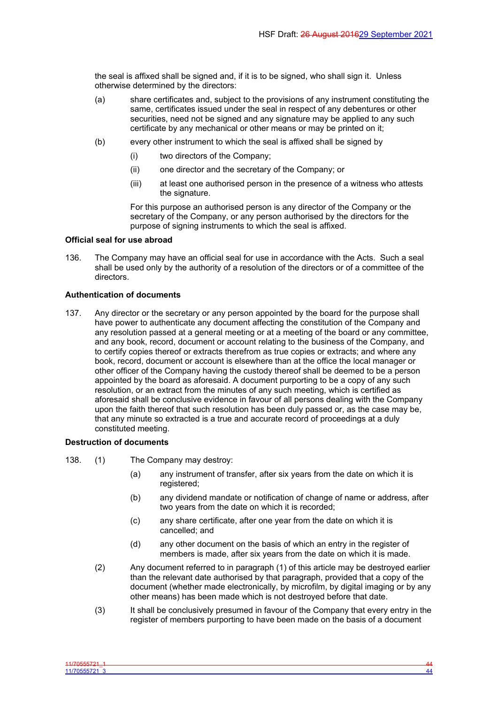the seal is affixed shall be signed and, if it is to be signed, who shall sign it. Unless otherwise determined by the directors:

- (a) share certificates and, subject to the provisions of any instrument constituting the same, certificates issued under the seal in respect of any debentures or other securities, need not be signed and any signature may be applied to any such certificate by any mechanical or other means or may be printed on it;
- (b) every other instrument to which the seal is affixed shall be signed by
	- (i) two directors of the Company;
	- (ii) one director and the secretary of the Company; or
	- (iii) at least one authorised person in the presence of a witness who attests the signature.

For this purpose an authorised person is any director of the Company or the secretary of the Company, or any person authorised by the directors for the purpose of signing instruments to which the seal is affixed.

#### **Official seal for use abroad**

136. The Company may have an official seal for use in accordance with the Acts. Such a seal shall be used only by the authority of a resolution of the directors or of a committee of the directors.

#### **Authentication of documents**

137. Any director or the secretary or any person appointed by the board for the purpose shall have power to authenticate any document affecting the constitution of the Company and any resolution passed at a general meeting or at a meeting of the board or any committee, and any book, record, document or account relating to the business of the Company, and to certify copies thereof or extracts therefrom as true copies or extracts; and where any book, record, document or account is elsewhere than at the office the local manager or other officer of the Company having the custody thereof shall be deemed to be a person appointed by the board as aforesaid. A document purporting to be a copy of any such resolution, or an extract from the minutes of any such meeting, which is certified as aforesaid shall be conclusive evidence in favour of all persons dealing with the Company upon the faith thereof that such resolution has been duly passed or, as the case may be, that any minute so extracted is a true and accurate record of proceedings at a duly constituted meeting.

### **Destruction of documents**

138. (1) The Company may destroy:

- (a) any instrument of transfer, after six years from the date on which it is registered;
- (b) any dividend mandate or notification of change of name or address, after two years from the date on which it is recorded;
- (c) any share certificate, after one year from the date on which it is cancelled; and
- (d) any other document on the basis of which an entry in the register of members is made, after six years from the date on which it is made.
- (2) Any document referred to in paragraph (1) of this article may be destroyed earlier than the relevant date authorised by that paragraph, provided that a copy of the document (whether made electronically, by microfilm, by digital imaging or by any other means) has been made which is not destroyed before that date.
- (3) It shall be conclusively presumed in favour of the Company that every entry in the register of members purporting to have been made on the basis of a document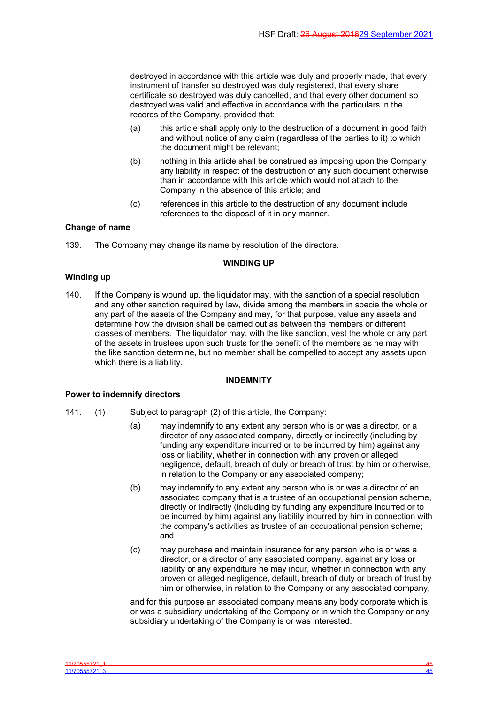destroyed in accordance with this article was duly and properly made, that every instrument of transfer so destroyed was duly registered, that every share certificate so destroyed was duly cancelled, and that every other document so destroyed was valid and effective in accordance with the particulars in the records of the Company, provided that:

- (a) this article shall apply only to the destruction of a document in good faith and without notice of any claim (regardless of the parties to it) to which the document might be relevant;
- (b) nothing in this article shall be construed as imposing upon the Company any liability in respect of the destruction of any such document otherwise than in accordance with this article which would not attach to the Company in the absence of this article; and
- (c) references in this article to the destruction of any document include references to the disposal of it in any manner.

## **Change of name**

139. The Company may change its name by resolution of the directors.

## <span id="page-46-0"></span>**WINDING UP**

#### **Winding up**

140. If the Company is wound up, the liquidator may, with the sanction of a special resolution and any other sanction required by law, divide among the members in specie the whole or any part of the assets of the Company and may, for that purpose, value any assets and determine how the division shall be carried out as between the members or different classes of members. The liquidator may, with the like sanction, vest the whole or any part of the assets in trustees upon such trusts for the benefit of the members as he may with the like sanction determine, but no member shall be compelled to accept any assets upon which there is a liability.

#### <span id="page-46-1"></span>**INDEMNITY**

#### **Power to indemnify directors**

- 141. (1) Subject to paragraph (2) of this article, the Company:
	- (a) may indemnify to any extent any person who is or was a director, or a director of any associated company, directly or indirectly (including by funding any expenditure incurred or to be incurred by him) against any loss or liability, whether in connection with any proven or alleged negligence, default, breach of duty or breach of trust by him or otherwise, in relation to the Company or any associated company;
	- (b) may indemnify to any extent any person who is or was a director of an associated company that is a trustee of an occupational pension scheme, directly or indirectly (including by funding any expenditure incurred or to be incurred by him) against any liability incurred by him in connection with the company's activities as trustee of an occupational pension scheme; and
	- (c) may purchase and maintain insurance for any person who is or was a director, or a director of any associated company, against any loss or liability or any expenditure he may incur, whether in connection with any proven or alleged negligence, default, breach of duty or breach of trust by him or otherwise, in relation to the Company or any associated company,

and for this purpose an associated company means any body corporate which is or was a subsidiary undertaking of the Company or in which the Company or any subsidiary undertaking of the Company is or was interested.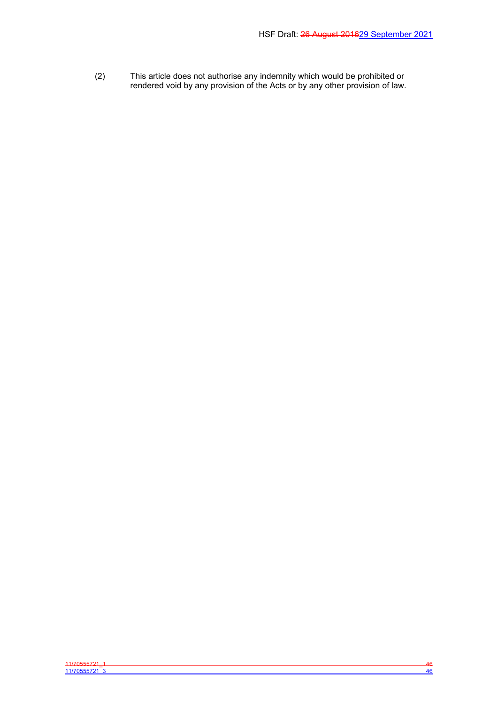(2) This article does not authorise any indemnity which would be prohibited or rendered void by any provision of the Acts or by any other provision of law.